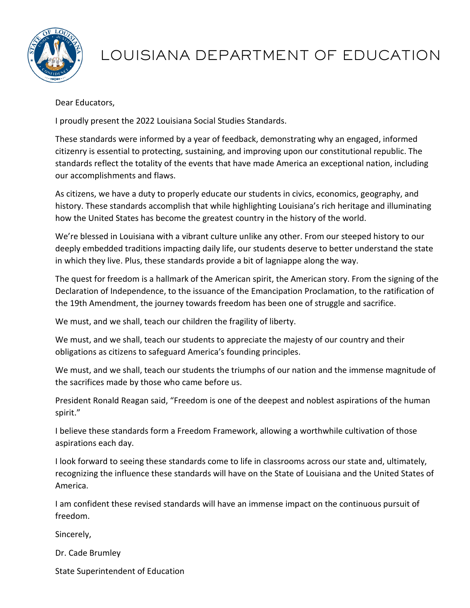

# LOUISIANA DEPARTMENT OF EDUCATION

Dear Educators,

I proudly present the 2022 Louisiana Social Studies Standards.

These standards were informed by a year of feedback, demonstrating why an engaged, informed citizenry is essential to protecting, sustaining, and improving upon our constitutional republic. The standards reflect the totality of the events that have made America an exceptional nation, including our accomplishments and flaws.

As citizens, we have a duty to properly educate our students in civics, economics, geography, and history. These standards accomplish that while highlighting Louisiana's rich heritage and illuminating how the United States has become the greatest country in the history of the world.

We're blessed in Louisiana with a vibrant culture unlike any other. From our steeped history to our deeply embedded traditions impacting daily life, our students deserve to better understand the state in which they live. Plus, these standards provide a bit of lagniappe along the way.

The quest for freedom is a hallmark of the American spirit, the American story. From the signing of the Declaration of Independence, to the issuance of the Emancipation Proclamation, to the ratification of the 19th Amendment, the journey towards freedom has been one of struggle and sacrifice.

We must, and we shall, teach our children the fragility of liberty.

We must, and we shall, teach our students to appreciate the majesty of our country and their obligations as citizens to safeguard America's founding principles.

We must, and we shall, teach our students the triumphs of our nation and the immense magnitude of the sacrifices made by those who came before us.

President Ronald Reagan said, "Freedom is one of the deepest and noblest aspirations of the human spirit."

I believe these standards form a Freedom Framework, allowing a worthwhile cultivation of those aspirations each day.

I look forward to seeing these standards come to life in classrooms across our state and, ultimately, recognizing the influence these standards will have on the State of Louisiana and the United States of America.

I am confident these revised standards will have an immense impact on the continuous pursuit of freedom.

Sincerely,

Dr. Cade Brumley

State Superintendent of Education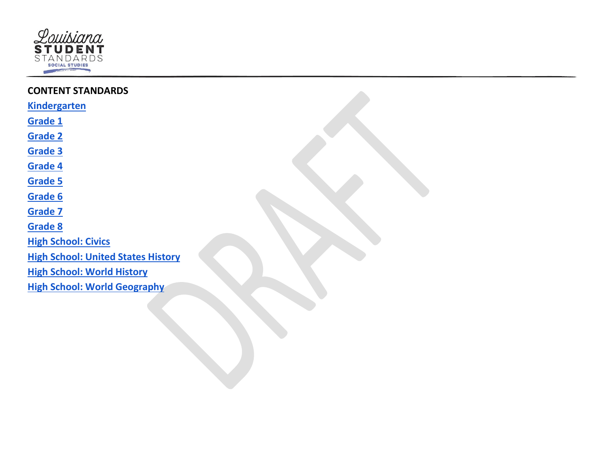

| <b>CONTENT STANDARDS</b>                  |  |
|-------------------------------------------|--|
| <b>Kindergarten</b>                       |  |
| Grade 1                                   |  |
| <b>Grade 2</b>                            |  |
| <b>Grade 3</b>                            |  |
| <b>Grade 4</b>                            |  |
| <b>Grade 5</b>                            |  |
| Grade 6                                   |  |
| <b>Grade 7</b>                            |  |
| <b>Grade 8</b>                            |  |
| <b>High School: Civics</b>                |  |
| <b>High School: United States History</b> |  |
| <b>High School: World History</b>         |  |
| <b>High School: World Geography</b>       |  |
|                                           |  |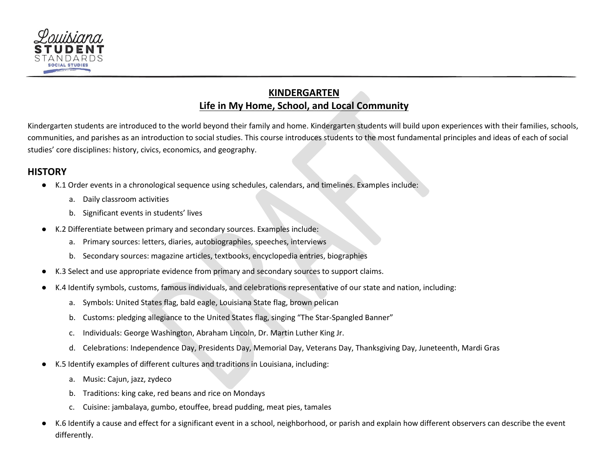<span id="page-2-0"></span>

# **KINDERGARTEN Life in My Home, School, and Local Community**

Kindergarten students are introduced to the world beyond their family and home. Kindergarten students will build upon experiences with their families, schools, communities, and parishes as an introduction to social studies. This course introduces students to the most fundamental principles and ideas of each of social studies' core disciplines: history, civics, economics, and geography.

#### **HISTORY**

- K.1 Order events in a chronological sequence using schedules, calendars, and timelines. Examples include:
	- a. Daily classroom activities
	- b. Significant events in students' lives
- K.2 Differentiate between primary and secondary sources. Examples include:
	- a. Primary sources: letters, diaries, autobiographies, speeches, interviews
	- b. Secondary sources: magazine articles, textbooks, encyclopedia entries, biographies
- K.3 Select and use appropriate evidence from primary and secondary sources to support claims.
- K.4 Identify symbols, customs, famous individuals, and celebrations representative of our state and nation, including:
	- a. Symbols: United States flag, bald eagle, Louisiana State flag, brown pelican
	- b. Customs: pledging allegiance to the United States flag, singing "The Star-Spangled Banner"
	- c. Individuals: George Washington, Abraham Lincoln, Dr. Martin Luther King Jr.
	- d. Celebrations: Independence Day, Presidents Day, Memorial Day, Veterans Day, Thanksgiving Day, Juneteenth, Mardi Gras
- K.5 Identify examples of different cultures and traditions in Louisiana, including:
	- a. Music: Cajun, jazz, zydeco
	- b. Traditions: king cake, red beans and rice on Mondays
	- c. Cuisine: jambalaya, gumbo, etouffee, bread pudding, meat pies, tamales
- K.6 Identify a cause and effect for a significant event in a school, neighborhood, or parish and explain how different observers can describe the event differently.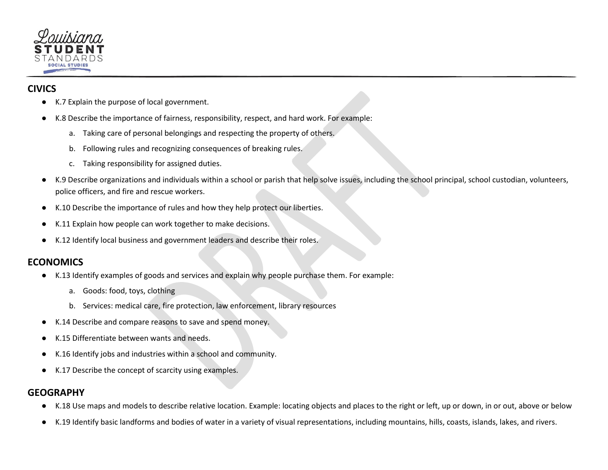

# **CIVICS**

- K.7 Explain the purpose of local government.
- K.8 Describe the importance of fairness, responsibility, respect, and hard work. For example:
	- a. Taking care of personal belongings and respecting the property of others.
	- b. Following rules and recognizing consequences of breaking rules.
	- c. Taking responsibility for assigned duties.
- K.9 Describe organizations and individuals within a school or parish that help solve issues, including the school principal, school custodian, volunteers, police officers, and fire and rescue workers.
- K.10 Describe the importance of rules and how they help protect our liberties.
- K.11 Explain how people can work together to make decisions.
- K.12 Identify local business and government leaders and describe their roles.

#### **ECONOMICS**

- K.13 Identify examples of goods and services and explain why people purchase them. For example:
	- a. Goods: food, toys, clothing
	- b. Services: medical care, fire protection, law enforcement, library resources
- K.14 Describe and compare reasons to save and spend money.
- K.15 Differentiate between wants and needs.
- K.16 Identify jobs and industries within a school and community.
- K.17 Describe the concept of scarcity using examples.

#### **GEOGRAPHY**

- K.18 Use maps and models to describe relative location. Example: locating objects and places to the right or left, up or down, in or out, above or below
- K.19 Identify basic landforms and bodies of water in a variety of visual representations, including mountains, hills, coasts, islands, lakes, and rivers.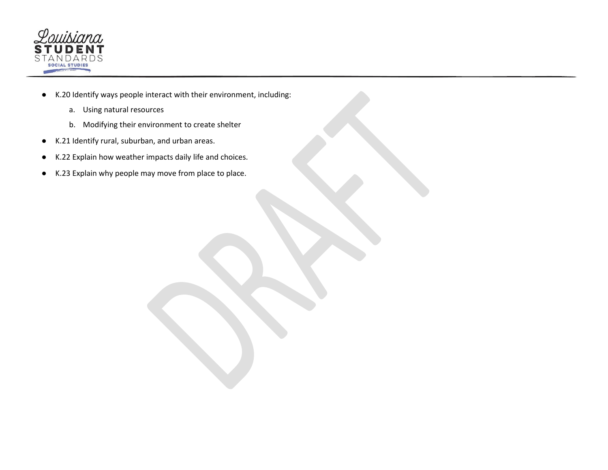

- K.20 Identify ways people interact with their environment, including:
	- a. Using natural resources
	- b. Modifying their environment to create shelter
- K.21 Identify rural, suburban, and urban areas.
- K.22 Explain how weather impacts daily life and choices.
- K.23 Explain why people may move from place to place.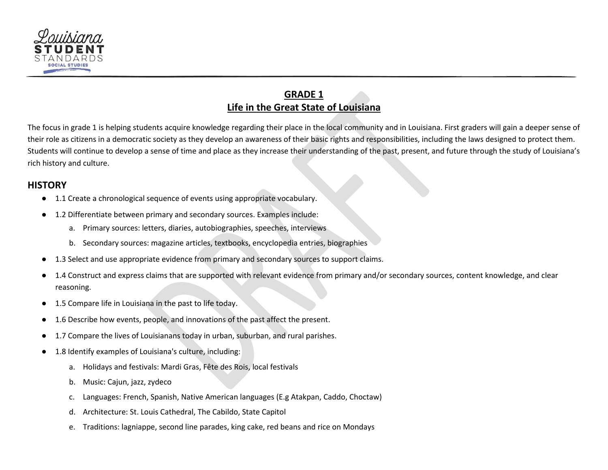

# **GRADE 1 Life in the Great State of Louisiana**

<span id="page-5-0"></span>The focus in grade 1 is helping students acquire knowledge regarding their place in the local community and in Louisiana. First graders will gain a deeper sense of their role as citizens in a democratic society as they develop an awareness of their basic rights and responsibilities, including the laws designed to protect them. Students will continue to develop a sense of time and place as they increase their understanding of the past, present, and future through the study of Louisiana's rich history and culture.

#### **HISTORY**

- 1.1 Create a chronological sequence of events using appropriate vocabulary.
- 1.2 Differentiate between primary and secondary sources. Examples include:
	- a. Primary sources: letters, diaries, autobiographies, speeches, interviews
	- b. Secondary sources: magazine articles, textbooks, encyclopedia entries, biographies
- 1.3 Select and use appropriate evidence from primary and secondary sources to support claims.
- 1.4 Construct and express claims that are supported with relevant evidence from primary and/or secondary sources, content knowledge, and clear reasoning.
- 1.5 Compare life in Louisiana in the past to life today.
- 1.6 Describe how events, people, and innovations of the past affect the present.
- 1.7 Compare the lives of Louisianans today in urban, suburban, and rural parishes.
- 1.8 Identify examples of Louisiana's culture, including:
	- a. Holidays and festivals: Mardi Gras, Fête des Rois, local festivals
	- b. Music: Cajun, jazz, zydeco
	- c. Languages: French, Spanish, Native American languages (E.g Atakpan, Caddo, Choctaw)
	- d. Architecture: St. Louis Cathedral, The Cabildo, State Capitol
	- e. Traditions: lagniappe, second line parades, king cake, red beans and rice on Mondays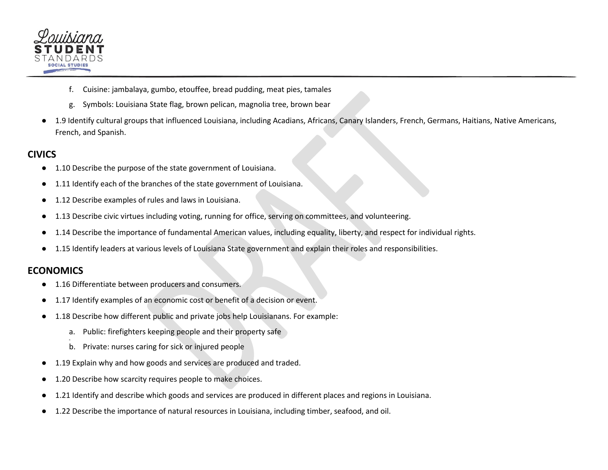

- f. Cuisine: jambalaya, gumbo, etouffee, bread pudding, meat pies, tamales
- g. Symbols: Louisiana State flag, brown pelican, magnolia tree, brown bear
- 1.9 Identify cultural groups that influenced Louisiana, including Acadians, Africans, Canary Islanders, French, Germans, Haitians, Native Americans, French, and Spanish.

#### **CIVICS**

- 1.10 Describe the purpose of the state government of Louisiana.
- 1.11 Identify each of the branches of the state government of Louisiana.
- 1.12 Describe examples of rules and laws in Louisiana.
- 1.13 Describe civic virtues including voting, running for office, serving on committees, and volunteering.
- 1.14 Describe the importance of fundamental American values, including equality, liberty, and respect for individual rights.
- 1.15 Identify leaders at various levels of Louisiana State government and explain their roles and responsibilities.

#### **ECONOMICS**

- 1.16 Differentiate between producers and consumers.
- 1.17 Identify examples of an economic cost or benefit of a decision or event.
- 1.18 Describe how different public and private jobs help Louisianans. For example:
	- a. Public: firefighters keeping people and their property safe
	- b. Private: nurses caring for sick or injured people
- 1.19 Explain why and how goods and services are produced and traded.
- 1.20 Describe how scarcity requires people to make choices.
- 1.21 Identify and describe which goods and services are produced in different places and regions in Louisiana.
- 1.22 Describe the importance of natural resources in Louisiana, including timber, seafood, and oil.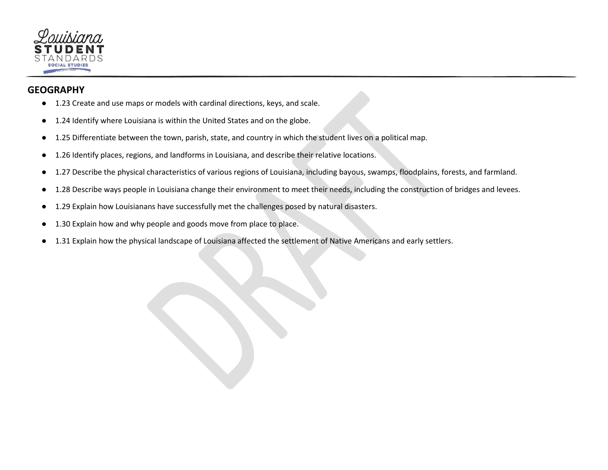

#### **GEOGRAPHY**

- 1.23 Create and use maps or models with cardinal directions, keys, and scale.
- 1.24 Identify where Louisiana is within the United States and on the globe.
- 1.25 Differentiate between the town, parish, state, and country in which the student lives on a political map.
- 1.26 Identify places, regions, and landforms in Louisiana, and describe their relative locations.
- 1.27 Describe the physical characteristics of various regions of Louisiana, including bayous, swamps, floodplains, forests, and farmland.
- 1.28 Describe ways people in Louisiana change their environment to meet their needs, including the construction of bridges and levees.
- 1.29 Explain how Louisianans have successfully met the challenges posed by natural disasters.
- 1.30 Explain how and why people and goods move from place to place.
- 1.31 Explain how the physical landscape of Louisiana affected the settlement of Native Americans and early settlers.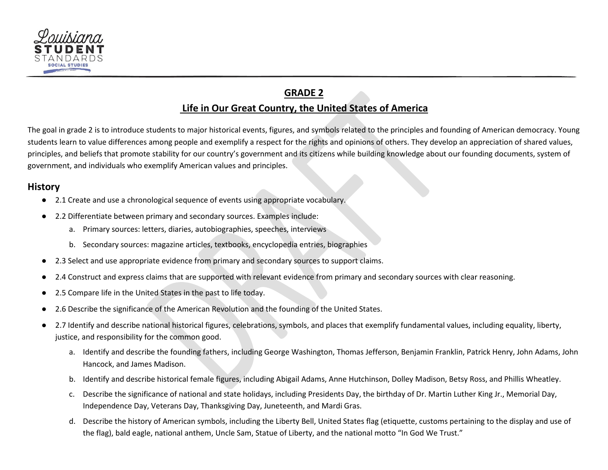

# **GRADE 2 Life in Our Great Country, the United States of America**

<span id="page-8-0"></span>The goal in grade 2 is to introduce students to major historical events, figures, and symbols related to the principles and founding of American democracy. Young students learn to value differences among people and exemplify a respect for the rights and opinions of others. They develop an appreciation of shared values, principles, and beliefs that promote stability for our country's government and its citizens while building knowledge about our founding documents, system of government, and individuals who exemplify American values and principles.

#### **History**

- 2.1 Create and use a chronological sequence of events using appropriate vocabulary.
- 2.2 Differentiate between primary and secondary sources. Examples include:
	- a. Primary sources: letters, diaries, autobiographies, speeches, interviews
	- b. Secondary sources: magazine articles, textbooks, encyclopedia entries, biographies
- 2.3 Select and use appropriate evidence from primary and secondary sources to support claims.
- 2.4 Construct and express claims that are supported with relevant evidence from primary and secondary sources with clear reasoning.
- 2.5 Compare life in the United States in the past to life today.
- 2.6 Describe the significance of the American Revolution and the founding of the United States.
- 2.7 Identify and describe national historical figures, celebrations, symbols, and places that exemplify fundamental values, including equality, liberty, justice, and responsibility for the common good.
	- a. Identify and describe the founding fathers, including George Washington, Thomas Jefferson, Benjamin Franklin, Patrick Henry, John Adams, John Hancock, and James Madison.
	- b. Identify and describe historical female figures, including Abigail Adams, Anne Hutchinson, Dolley Madison, Betsy Ross, and Phillis Wheatley.
	- c. Describe the significance of national and state holidays, including Presidents Day, the birthday of Dr. Martin Luther King Jr., Memorial Day, Independence Day, Veterans Day, Thanksgiving Day, Juneteenth, and Mardi Gras.
	- d. Describe the history of American symbols, including the Liberty Bell, United States flag (etiquette, customs pertaining to the display and use of the flag), bald eagle, national anthem, Uncle Sam, Statue of Liberty, and the national motto "In God We Trust."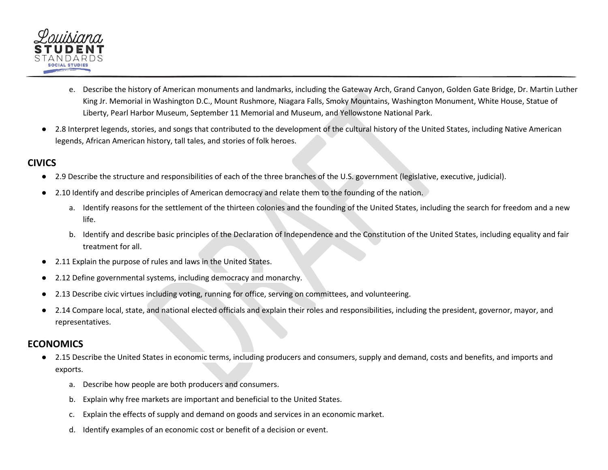

- e. Describe the history of American monuments and landmarks, including the Gateway Arch, Grand Canyon, Golden Gate Bridge, Dr. Martin Luther King Jr. Memorial in Washington D.C., Mount Rushmore, Niagara Falls, Smoky Mountains, Washington Monument, White House, Statue of Liberty, Pearl Harbor Museum, September 11 Memorial and Museum, and Yellowstone National Park.
- 2.8 Interpret legends, stories, and songs that contributed to the development of the cultural history of the United States, including Native American legends, African American history, tall tales, and stories of folk heroes.

#### **CIVICS**

- 2.9 Describe the structure and responsibilities of each of the three branches of the U.S. government (legislative, executive, judicial).
- 2.10 Identify and describe principles of American democracy and relate them to the founding of the nation.
	- a. Identify reasons for the settlement of the thirteen colonies and the founding of the United States, including the search for freedom and a new life.
	- b. Identify and describe basic principles of the Declaration of Independence and the Constitution of the United States, including equality and fair treatment for all.
- 2.11 Explain the purpose of rules and laws in the United States.
- 2.12 Define governmental systems, including democracy and monarchy.
- 2.13 Describe civic virtues including voting, running for office, serving on committees, and volunteering.
- 2.14 Compare local, state, and national elected officials and explain their roles and responsibilities, including the president, governor, mayor, and representatives.

#### **ECONOMICS**

- 2.15 Describe the United States in economic terms, including producers and consumers, supply and demand, costs and benefits, and imports and exports.
	- a. Describe how people are both producers and consumers.
	- b. Explain why free markets are important and beneficial to the United States.
	- c. Explain the effects of supply and demand on goods and services in an economic market.
	- d. Identify examples of an economic cost or benefit of a decision or event.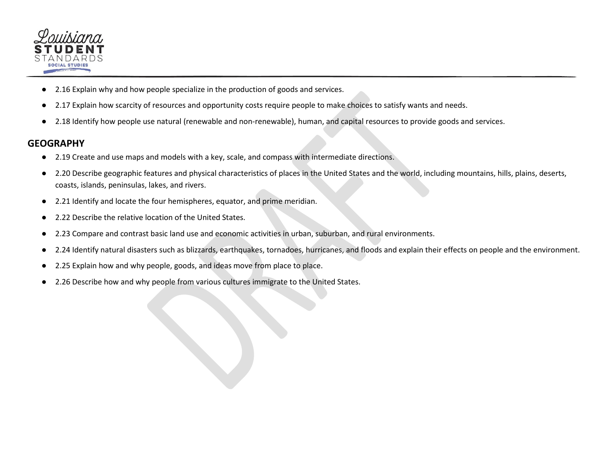

- 2.16 Explain why and how people specialize in the production of goods and services.
- 2.17 Explain how scarcity of resources and opportunity costs require people to make choices to satisfy wants and needs.
- 2.18 Identify how people use natural (renewable and non-renewable), human, and capital resources to provide goods and services.

#### **GEOGRAPHY**

- 2.19 Create and use maps and models with a key, scale, and compass with intermediate directions.
- 2.20 Describe geographic features and physical characteristics of places in the United States and the world, including mountains, hills, plains, deserts, coasts, islands, peninsulas, lakes, and rivers.
- 2.21 Identify and locate the four hemispheres, equator, and prime meridian.
- 2.22 Describe the relative location of the United States.
- 2.23 Compare and contrast basic land use and economic activities in urban, suburban, and rural environments.
- 2.24 Identify natural disasters such as blizzards, earthquakes, tornadoes, hurricanes, and floods and explain their effects on people and the environment.
- 2.25 Explain how and why people, goods, and ideas move from place to place.
- 2.26 Describe how and why people from various cultures immigrate to the United States.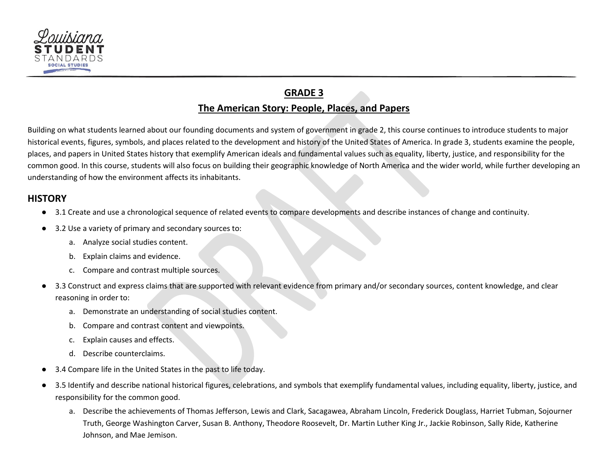<span id="page-11-0"></span>

# **GRADE 3 The American Story: People, Places, and Papers**

Building on what students learned about our founding documents and system of government in grade 2, this course continues to introduce students to major historical events, figures, symbols, and places related to the development and history of the United States of America. In grade 3, students examine the people, places, and papers in United States history that exemplify American ideals and fundamental values such as equality, liberty, justice, and responsibility for the common good. In this course, students will also focus on building their geographic knowledge of North America and the wider world, while further developing an understanding of how the environment affects its inhabitants.

#### **HISTORY**

- 3.1 Create and use a chronological sequence of related events to compare developments and describe instances of change and continuity.
- 3.2 Use a variety of primary and secondary sources to:
	- a. Analyze social studies content.
	- b. Explain claims and evidence.
	- c. Compare and contrast multiple sources.
- 3.3 Construct and express claims that are supported with relevant evidence from primary and/or secondary sources, content knowledge, and clear reasoning in order to:
	- a. Demonstrate an understanding of social studies content.
	- b. Compare and contrast content and viewpoints.
	- c. Explain causes and effects.
	- d. Describe counterclaims.
- 3.4 Compare life in the United States in the past to life today.
- 3.5 Identify and describe national historical figures, celebrations, and symbols that exemplify fundamental values, including equality, liberty, justice, and responsibility for the common good.
	- a. Describe the achievements of Thomas Jefferson, Lewis and Clark, Sacagawea, Abraham Lincoln, Frederick Douglass, Harriet Tubman, Sojourner Truth, George Washington Carver, Susan B. Anthony, Theodore Roosevelt, Dr. Martin Luther King Jr., Jackie Robinson, Sally Ride, Katherine Johnson, and Mae Jemison.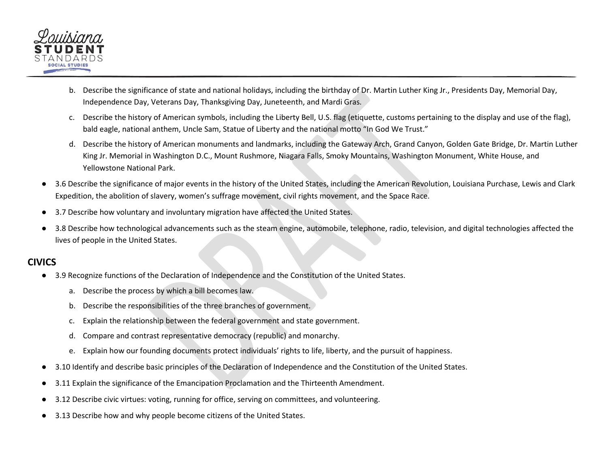

- b. Describe the significance of state and national holidays, including the birthday of Dr. Martin Luther King Jr., Presidents Day, Memorial Day, Independence Day, Veterans Day, Thanksgiving Day, Juneteenth, and Mardi Gras.
- c. Describe the history of American symbols, including the Liberty Bell, U.S. flag (etiquette, customs pertaining to the display and use of the flag), bald eagle, national anthem, Uncle Sam, Statue of Liberty and the national motto "In God We Trust."
- d. Describe the history of American monuments and landmarks, including the Gateway Arch, Grand Canyon, Golden Gate Bridge, Dr. Martin Luther King Jr. Memorial in Washington D.C., Mount Rushmore, Niagara Falls, Smoky Mountains, Washington Monument, White House, and Yellowstone National Park.
- 3.6 Describe the significance of major events in the history of the United States, including the American Revolution, Louisiana Purchase, Lewis and Clark Expedition, the abolition of slavery, women's suffrage movement, civil rights movement, and the Space Race.
- 3.7 Describe how voluntary and involuntary migration have affected the United States.
- 3.8 Describe how technological advancements such as the steam engine, automobile, telephone, radio, television, and digital technologies affected the lives of people in the United States.

#### **CIVICS**

- 3.9 Recognize functions of the Declaration of Independence and the Constitution of the United States.
	- a. Describe the process by which a bill becomes law.
	- b. Describe the responsibilities of the three branches of government.
	- c. Explain the relationship between the federal government and state government.
	- d. Compare and contrast representative democracy (republic) and monarchy.
	- e. Explain how our founding documents protect individuals' rights to life, liberty, and the pursuit of happiness.
- 3.10 Identify and describe basic principles of the Declaration of Independence and the Constitution of the United States.
- 3.11 Explain the significance of the Emancipation Proclamation and the Thirteenth Amendment.
- 3.12 Describe civic virtues: voting, running for office, serving on committees, and volunteering.
- 3.13 Describe how and why people become citizens of the United States.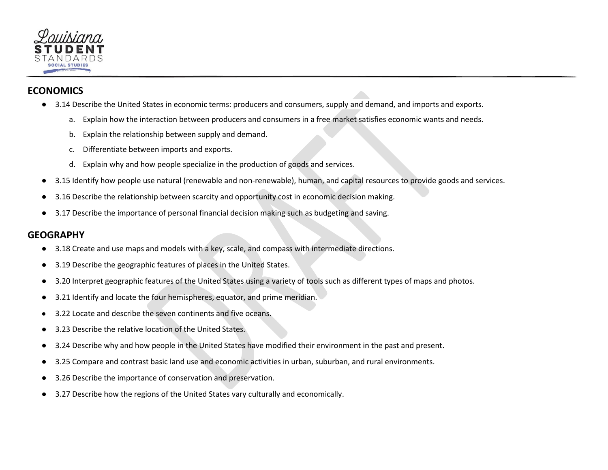

#### **ECONOMICS**

- 3.14 Describe the United States in economic terms: producers and consumers, supply and demand, and imports and exports.
	- a. Explain how the interaction between producers and consumers in a free market satisfies economic wants and needs.
	- b. Explain the relationship between supply and demand.
	- c. Differentiate between imports and exports.
	- d. Explain why and how people specialize in the production of goods and services.
- 3.15 Identify how people use natural (renewable and non-renewable), human, and capital resources to provide goods and services.
- 3.16 Describe the relationship between scarcity and opportunity cost in economic decision making.
- 3.17 Describe the importance of personal financial decision making such as budgeting and saving.

#### **GEOGRAPHY**

- 3.18 Create and use maps and models with a key, scale, and compass with intermediate directions.
- 3.19 Describe the geographic features of places in the United States.
- 3.20 Interpret geographic features of the United States using a variety of tools such as different types of maps and photos.
- 3.21 Identify and locate the four hemispheres, equator, and prime meridian.
- 3.22 Locate and describe the seven continents and five oceans.
- 3.23 Describe the relative location of the United States.
- 3.24 Describe why and how people in the United States have modified their environment in the past and present.
- 3.25 Compare and contrast basic land use and economic activities in urban, suburban, and rural environments.
- 3.26 Describe the importance of conservation and preservation.
- 3.27 Describe how the regions of the United States vary culturally and economically.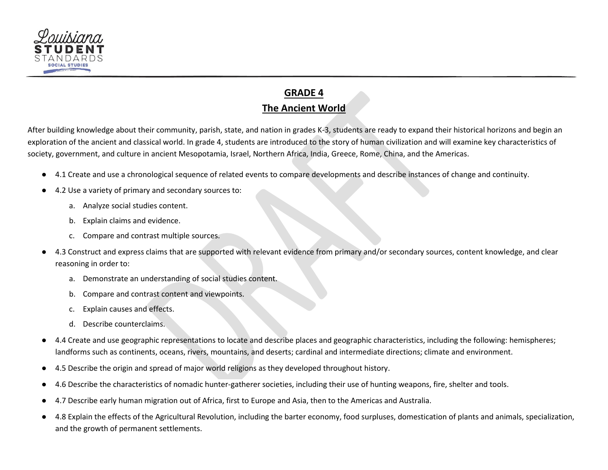

# **GRADE 4 The Ancient World**

<span id="page-14-0"></span>After building knowledge about their community, parish, state, and nation in grades K-3, students are ready to expand their historical horizons and begin an exploration of the ancient and classical world. In grade 4, students are introduced to the story of human civilization and will examine key characteristics of society, government, and culture in ancient Mesopotamia, Israel, Northern Africa, India, Greece, Rome, China, and the Americas.

- 4.1 Create and use a chronological sequence of related events to compare developments and describe instances of change and continuity.
- 4.2 Use a variety of primary and secondary sources to:
	- a. Analyze social studies content.
	- b. Explain claims and evidence.
	- c. Compare and contrast multiple sources.
- 4.3 Construct and express claims that are supported with relevant evidence from primary and/or secondary sources, content knowledge, and clear reasoning in order to:
	- a. Demonstrate an understanding of social studies content.
	- b. Compare and contrast content and viewpoints.
	- c. Explain causes and effects.
	- d. Describe counterclaims.
- 4.4 Create and use geographic representations to locate and describe places and geographic characteristics, including the following: hemispheres; landforms such as continents, oceans, rivers, mountains, and deserts; cardinal and intermediate directions; climate and environment.
- 4.5 Describe the origin and spread of major world religions as they developed throughout history.
- 4.6 Describe the characteristics of nomadic hunter-gatherer societies, including their use of hunting weapons, fire, shelter and tools.
- 4.7 Describe early human migration out of Africa, first to Europe and Asia, then to the Americas and Australia.
- 4.8 Explain the effects of the Agricultural Revolution, including the barter economy, food surpluses, domestication of plants and animals, specialization, and the growth of permanent settlements.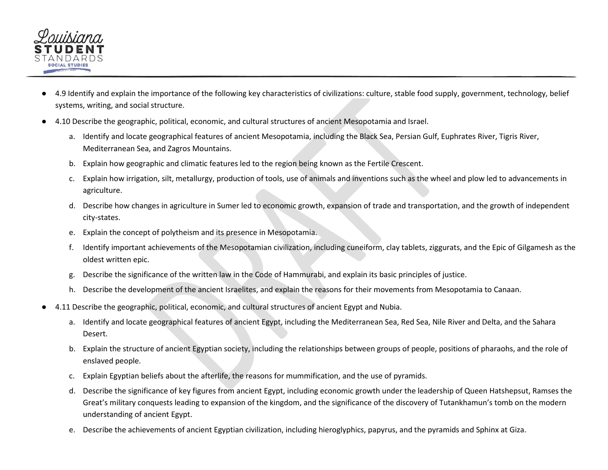

- 4.9 Identify and explain the importance of the following key characteristics of civilizations: culture, stable food supply, government, technology, belief systems, writing, and social structure.
- 4.10 Describe the geographic, political, economic, and cultural structures of ancient Mesopotamia and Israel.
	- a. Identify and locate geographical features of ancient Mesopotamia, including the Black Sea, Persian Gulf, Euphrates River, Tigris River, Mediterranean Sea, and Zagros Mountains.
	- b. Explain how geographic and climatic features led to the region being known as the Fertile Crescent.
	- c. Explain how irrigation, silt, metallurgy, production of tools, use of animals and inventions such as the wheel and plow led to advancements in agriculture.
	- d. Describe how changes in agriculture in Sumer led to economic growth, expansion of trade and transportation, and the growth of independent city-states.
	- e. Explain the concept of polytheism and its presence in Mesopotamia.
	- f. Identify important achievements of the Mesopotamian civilization, including cuneiform, clay tablets, ziggurats, and the Epic of Gilgamesh as the oldest written epic.
	- g. Describe the significance of the written law in the Code of Hammurabi, and explain its basic principles of justice.
	- h. Describe the development of the ancient Israelites, and explain the reasons for their movements from Mesopotamia to Canaan.
- 4.11 Describe the geographic, political, economic, and cultural structures of ancient Egypt and Nubia.
	- a. Identify and locate geographical features of ancient Egypt, including the Mediterranean Sea, Red Sea, Nile River and Delta, and the Sahara Desert.
	- b. Explain the structure of ancient Egyptian society, including the relationships between groups of people, positions of pharaohs, and the role of enslaved people.
	- c. Explain Egyptian beliefs about the afterlife, the reasons for mummification, and the use of pyramids.
	- d. Describe the significance of key figures from ancient Egypt, including economic growth under the leadership of Queen Hatshepsut, Ramses the Great's military conquests leading to expansion of the kingdom, and the significance of the discovery of Tutankhamun's tomb on the modern understanding of ancient Egypt.
	- e. Describe the achievements of ancient Egyptian civilization, including hieroglyphics, papyrus, and the pyramids and Sphinx at Giza.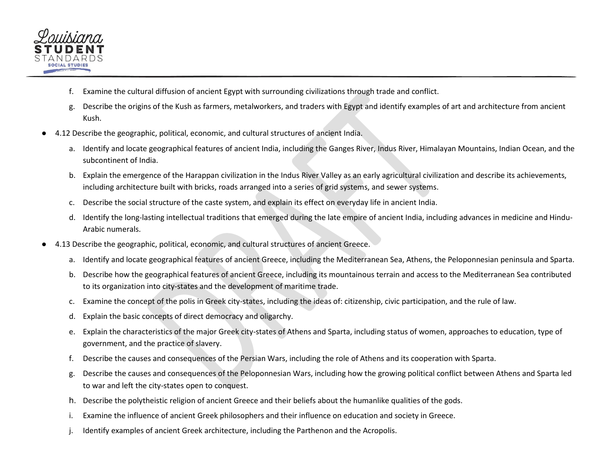

- f. Examine the cultural diffusion of ancient Egypt with surrounding civilizations through trade and conflict.
- g. Describe the origins of the Kush as farmers, metalworkers, and traders with Egypt and identify examples of art and architecture from ancient Kush.
- 4.12 Describe the geographic, political, economic, and cultural structures of ancient India.
	- a. Identify and locate geographical features of ancient India, including the Ganges River, Indus River, Himalayan Mountains, Indian Ocean, and the subcontinent of India.
	- b. Explain the emergence of the Harappan civilization in the Indus River Valley as an early agricultural civilization and describe its achievements, including architecture built with bricks, roads arranged into a series of grid systems, and sewer systems.
	- c. Describe the social structure of the caste system, and explain its effect on everyday life in ancient India.
	- d. Identify the long-lasting intellectual traditions that emerged during the late empire of ancient India, including advances in medicine and Hindu-Arabic numerals.
- 4.13 Describe the geographic, political, economic, and cultural structures of ancient Greece.
	- a. Identify and locate geographical features of ancient Greece, including the Mediterranean Sea, Athens, the Peloponnesian peninsula and Sparta.
	- b. Describe how the geographical features of ancient Greece, including its mountainous terrain and access to the Mediterranean Sea contributed to its organization into city-states and the development of maritime trade.
	- c. Examine the concept of the polis in Greek city-states, including the ideas of: citizenship, civic participation, and the rule of law.
	- d. Explain the basic concepts of direct democracy and oligarchy.
	- e. Explain the characteristics of the major Greek city-states of Athens and Sparta, including status of women, approaches to education, type of government, and the practice of slavery.
	- f. Describe the causes and consequences of the Persian Wars, including the role of Athens and its cooperation with Sparta.
	- g. Describe the causes and consequences of the Peloponnesian Wars, including how the growing political conflict between Athens and Sparta led to war and left the city-states open to conquest.
	- h. Describe the polytheistic religion of ancient Greece and their beliefs about the humanlike qualities of the gods.
	- i. Examine the influence of ancient Greek philosophers and their influence on education and society in Greece.
	- j. Identify examples of ancient Greek architecture, including the Parthenon and the Acropolis.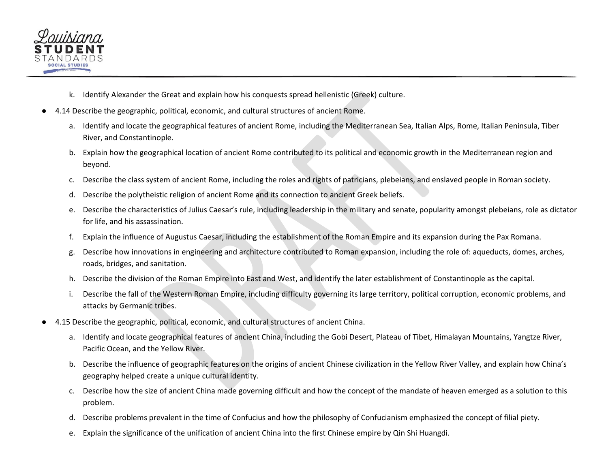

- k. Identify Alexander the Great and explain how his conquests spread hellenistic (Greek) culture.
- 4.14 Describe the geographic, political, economic, and cultural structures of ancient Rome.
	- a. Identify and locate the geographical features of ancient Rome, including the Mediterranean Sea, Italian Alps, Rome, Italian Peninsula, Tiber River, and Constantinople.
	- b. Explain how the geographical location of ancient Rome contributed to its political and economic growth in the Mediterranean region and beyond.
	- c. Describe the class system of ancient Rome, including the roles and rights of patricians, plebeians, and enslaved people in Roman society.
	- d. Describe the polytheistic religion of ancient Rome and its connection to ancient Greek beliefs.
	- e. Describe the characteristics of Julius Caesar's rule, including leadership in the military and senate, popularity amongst plebeians, role as dictator for life, and his assassination.
	- f. Explain the influence of Augustus Caesar, including the establishment of the Roman Empire and its expansion during the Pax Romana.
	- g. Describe how innovations in engineering and architecture contributed to Roman expansion, including the role of: aqueducts, domes, arches, roads, bridges, and sanitation.
	- h. Describe the division of the Roman Empire into East and West, and identify the later establishment of Constantinople as the capital.
	- i. Describe the fall of the Western Roman Empire, including difficulty governing its large territory, political corruption, economic problems, and attacks by Germanic tribes.
- 4.15 Describe the geographic, political, economic, and cultural structures of ancient China.
	- a. Identify and locate geographical features of ancient China, including the Gobi Desert, Plateau of Tibet, Himalayan Mountains, Yangtze River, Pacific Ocean, and the Yellow River.
	- b. Describe the influence of geographic features on the origins of ancient Chinese civilization in the Yellow River Valley, and explain how China's geography helped create a unique cultural identity.
	- c. Describe how the size of ancient China made governing difficult and how the concept of the mandate of heaven emerged as a solution to this problem.
	- d. Describe problems prevalent in the time of Confucius and how the philosophy of Confucianism emphasized the concept of filial piety.
	- e. Explain the significance of the unification of ancient China into the first Chinese empire by Qin Shi Huangdi.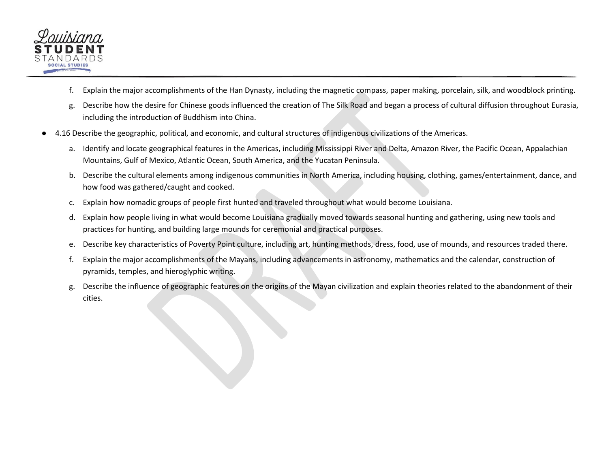

- f. Explain the major accomplishments of the Han Dynasty, including the magnetic compass, paper making, porcelain, silk, and woodblock printing.
- g. Describe how the desire for Chinese goods influenced the creation of The Silk Road and began a process of cultural diffusion throughout Eurasia, including the introduction of Buddhism into China.
- 4.16 Describe the geographic, political, and economic, and cultural structures of indigenous civilizations of the Americas.
	- a. Identify and locate geographical features in the Americas, including Mississippi River and Delta, Amazon River, the Pacific Ocean, Appalachian Mountains, Gulf of Mexico, Atlantic Ocean, South America, and the Yucatan Peninsula.
	- b. Describe the cultural elements among indigenous communities in North America, including housing, clothing, games/entertainment, dance, and how food was gathered/caught and cooked.
	- c. Explain how nomadic groups of people first hunted and traveled throughout what would become Louisiana.
	- d. Explain how people living in what would become Louisiana gradually moved towards seasonal hunting and gathering, using new tools and practices for hunting, and building large mounds for ceremonial and practical purposes.
	- e. Describe key characteristics of Poverty Point culture, including art, hunting methods, dress, food, use of mounds, and resources traded there.
	- f. Explain the major accomplishments of the Mayans, including advancements in astronomy, mathematics and the calendar, construction of pyramids, temples, and hieroglyphic writing.
	- g. Describe the influence of geographic features on the origins of the Mayan civilization and explain theories related to the abandonment of their cities.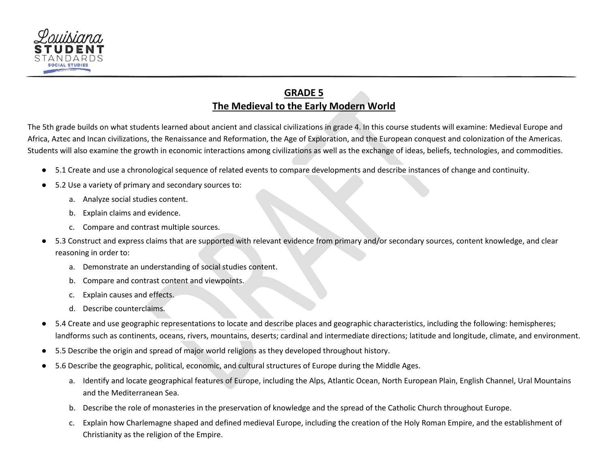

# **GRADE 5 The Medieval to the Early Modern World**

<span id="page-19-0"></span>The 5th grade builds on what students learned about ancient and classical civilizations in grade 4. In this course students will examine: Medieval Europe and Africa, Aztec and Incan civilizations, the Renaissance and Reformation, the Age of Exploration, and the European conquest and colonization of the Americas. Students will also examine the growth in economic interactions among civilizations as well as the exchange of ideas, beliefs, technologies, and commodities.

- 5.1 Create and use a chronological sequence of related events to compare developments and describe instances of change and continuity.
- 5.2 Use a variety of primary and secondary sources to:
	- a. Analyze social studies content.
	- b. Explain claims and evidence.
	- c. Compare and contrast multiple sources.
- 5.3 Construct and express claims that are supported with relevant evidence from primary and/or secondary sources, content knowledge, and clear reasoning in order to:
	- a. Demonstrate an understanding of social studies content.
	- b. Compare and contrast content and viewpoints.
	- c. Explain causes and effects.
	- d. Describe counterclaims.
- 5.4 Create and use geographic representations to locate and describe places and geographic characteristics, including the following: hemispheres; landforms such as continents, oceans, rivers, mountains, deserts; cardinal and intermediate directions; latitude and longitude, climate, and environment.
- 5.5 Describe the origin and spread of major world religions as they developed throughout history.
- 5.6 Describe the geographic, political, economic, and cultural structures of Europe during the Middle Ages.
	- a. Identify and locate geographical features of Europe, including the Alps, Atlantic Ocean, North European Plain, English Channel, Ural Mountains and the Mediterranean Sea.
	- b. Describe the role of monasteries in the preservation of knowledge and the spread of the Catholic Church throughout Europe.
	- c. Explain how Charlemagne shaped and defined medieval Europe, including the creation of the Holy Roman Empire, and the establishment of Christianity as the religion of the Empire.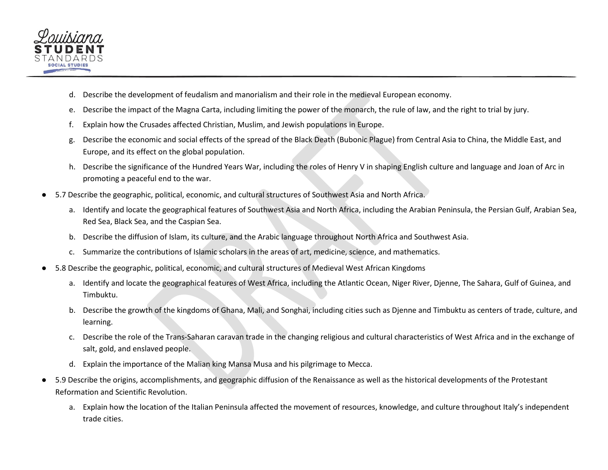

- d. Describe the development of feudalism and manorialism and their role in the medieval European economy.
- e. Describe the impact of the Magna Carta, including limiting the power of the monarch, the rule of law, and the right to trial by jury.
- f. Explain how the Crusades affected Christian, Muslim, and Jewish populations in Europe.
- g. Describe the economic and social effects of the spread of the Black Death (Bubonic Plague) from Central Asia to China, the Middle East, and Europe, and its effect on the global population.
- h. Describe the significance of the Hundred Years War, including the roles of Henry V in shaping English culture and language and Joan of Arc in promoting a peaceful end to the war.
- 5.7 Describe the geographic, political, economic, and cultural structures of Southwest Asia and North Africa.
	- a. Identify and locate the geographical features of Southwest Asia and North Africa, including the Arabian Peninsula, the Persian Gulf, Arabian Sea, Red Sea, Black Sea, and the Caspian Sea.
	- b. Describe the diffusion of Islam, its culture, and the Arabic language throughout North Africa and Southwest Asia.
	- c. Summarize the contributions of Islamic scholars in the areas of art, medicine, science, and mathematics.
- 5.8 Describe the geographic, political, economic, and cultural structures of Medieval West African Kingdoms
	- a. Identify and locate the geographical features of West Africa, including the Atlantic Ocean, Niger River, Djenne, The Sahara, Gulf of Guinea, and Timbuktu.
	- b. Describe the growth of the kingdoms of Ghana, Mali, and Songhai, including cities such as Djenne and Timbuktu as centers of trade, culture, and learning.
	- c. Describe the role of the Trans-Saharan caravan trade in the changing religious and cultural characteristics of West Africa and in the exchange of salt, gold, and enslaved people.
	- d. Explain the importance of the Malian king Mansa Musa and his pilgrimage to Mecca.
- 5.9 Describe the origins, accomplishments, and geographic diffusion of the Renaissance as well as the historical developments of the Protestant Reformation and Scientific Revolution.
	- a. Explain how the location of the Italian Peninsula affected the movement of resources, knowledge, and culture throughout Italy's independent trade cities.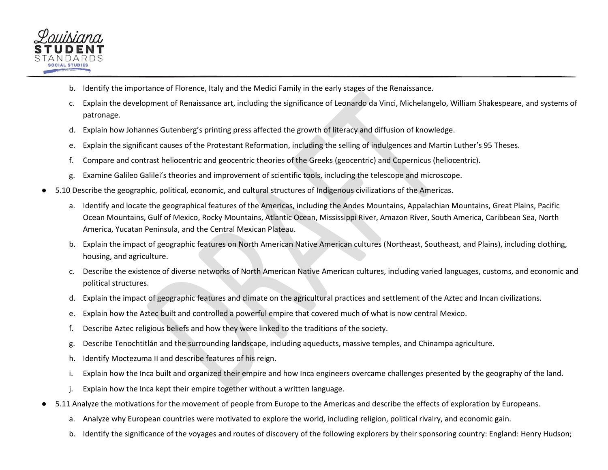

- b. Identify the importance of Florence, Italy and the Medici Family in the early stages of the Renaissance.
- c. Explain the development of Renaissance art, including the significance of Leonardo da Vinci, Michelangelo, William Shakespeare, and systems of patronage.
- d. Explain how Johannes Gutenberg's printing press affected the growth of literacy and diffusion of knowledge.
- e. Explain the significant causes of the Protestant Reformation, including the selling of indulgences and Martin Luther's 95 Theses.
- f. Compare and contrast heliocentric and geocentric theories of the Greeks (geocentric) and Copernicus (heliocentric).
- g. Examine Galileo Galilei's theories and improvement of scientific tools, including the telescope and microscope.
- 5.10 Describe the geographic, political, economic, and cultural structures of Indigenous civilizations of the Americas.
	- a. Identify and locate the geographical features of the Americas, including the Andes Mountains, Appalachian Mountains, Great Plains, Pacific Ocean Mountains, Gulf of Mexico, Rocky Mountains, Atlantic Ocean, Mississippi River, Amazon River, South America, Caribbean Sea, North America, Yucatan Peninsula, and the Central Mexican Plateau.
	- b. Explain the impact of geographic features on North American Native American cultures (Northeast, Southeast, and Plains), including clothing, housing, and agriculture.
	- c. Describe the existence of diverse networks of North American Native American cultures, including varied languages, customs, and economic and political structures.
	- d. Explain the impact of geographic features and climate on the agricultural practices and settlement of the Aztec and Incan civilizations.
	- e. Explain how the Aztec built and controlled a powerful empire that covered much of what is now central Mexico.
	- f. Describe Aztec religious beliefs and how they were linked to the traditions of the society.
	- g. Describe Tenochtitlán and the surrounding landscape, including aqueducts, massive temples, and Chinampa agriculture.
	- h. Identify Moctezuma II and describe features of his reign.
	- i. Explain how the Inca built and organized their empire and how Inca engineers overcame challenges presented by the geography of the land.
	- j. Explain how the Inca kept their empire together without a written language.
- 5.11 Analyze the motivations for the movement of people from Europe to the Americas and describe the effects of exploration by Europeans.
	- a. Analyze why European countries were motivated to explore the world, including religion, political rivalry, and economic gain.
	- b. Identify the significance of the voyages and routes of discovery of the following explorers by their sponsoring country: England: Henry Hudson;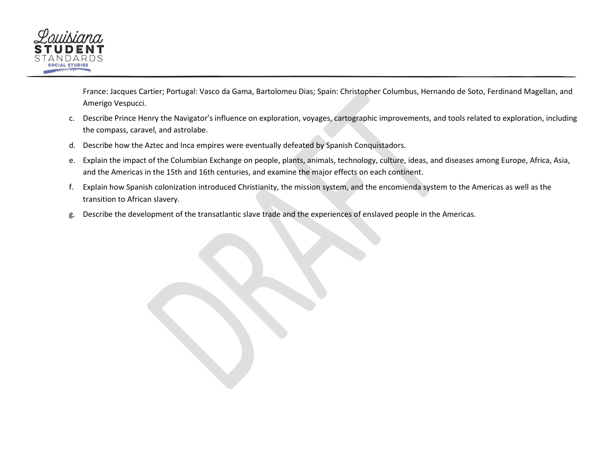

France: Jacques Cartier; Portugal: Vasco da Gama, Bartolomeu Dias; Spain: Christopher Columbus, Hernando de Soto, Ferdinand Magellan, and Amerigo Vespucci.

- c. Describe Prince Henry the Navigator's influence on exploration, voyages, cartographic improvements, and tools related to exploration, including the compass, caravel, and astrolabe.
- d. Describe how the Aztec and Inca empires were eventually defeated by Spanish Conquistadors.
- e. Explain the impact of the Columbian Exchange on people, plants, animals, technology, culture, ideas, and diseases among Europe, Africa, Asia, and the Americas in the 15th and 16th centuries, and examine the major effects on each continent.
- f. Explain how Spanish colonization introduced Christianity, the mission system, and the encomienda system to the Americas as well as the transition to African slavery.
- g. Describe the development of the transatlantic slave trade and the experiences of enslaved people in the Americas.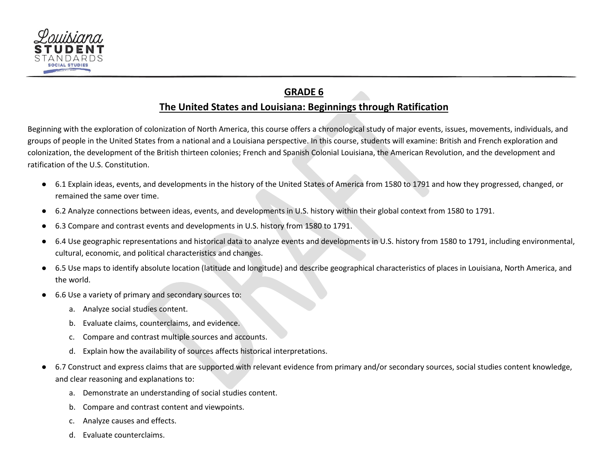

# **GRADE 6**

#### **The United States and Louisiana: Beginnings through Ratification**

<span id="page-23-0"></span>Beginning with the exploration of colonization of North America, this course offers a chronological study of major events, issues, movements, individuals, and groups of people in the United States from a national and a Louisiana perspective. In this course, students will examine: British and French exploration and colonization, the development of the British thirteen colonies; French and Spanish Colonial Louisiana, the American Revolution, and the development and ratification of the U.S. Constitution.

- 6.1 Explain ideas, events, and developments in the history of the United States of America from 1580 to 1791 and how they progressed, changed, or remained the same over time.
- 6.2 Analyze connections between ideas, events, and developments in U.S. history within their global context from 1580 to 1791.
- 6.3 Compare and contrast events and developments in U.S. history from 1580 to 1791.
- 6.4 Use geographic representations and historical data to analyze events and developments in U.S. history from 1580 to 1791, including environmental, cultural, economic, and political characteristics and changes.
- 6.5 Use maps to identify absolute location (latitude and longitude) and describe geographical characteristics of places in Louisiana, North America, and the world.
- 6.6 Use a variety of primary and secondary sources to:
	- a. Analyze social studies content.
	- b. Evaluate claims, counterclaims, and evidence.
	- c. Compare and contrast multiple sources and accounts.
	- d. Explain how the availability of sources affects historical interpretations.
- 6.7 Construct and express claims that are supported with relevant evidence from primary and/or secondary sources, social studies content knowledge, and clear reasoning and explanations to:
	- a. Demonstrate an understanding of social studies content.
	- b. Compare and contrast content and viewpoints.
	- c. Analyze causes and effects.
	- d. Evaluate counterclaims.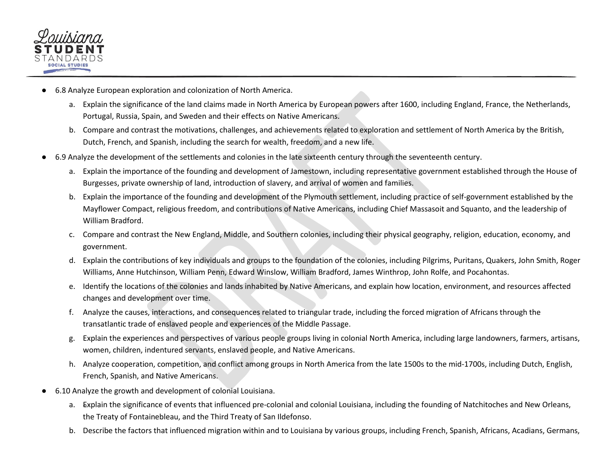

- 6.8 Analyze European exploration and colonization of North America.
	- a. Explain the significance of the land claims made in North America by European powers after 1600, including England, France, the Netherlands, Portugal, Russia, Spain, and Sweden and their effects on Native Americans.
	- b. Compare and contrast the motivations, challenges, and achievements related to exploration and settlement of North America by the British, Dutch, French, and Spanish, including the search for wealth, freedom, and a new life.
- 6.9 Analyze the development of the settlements and colonies in the late sixteenth century through the seventeenth century.
	- a. Explain the importance of the founding and development of Jamestown, including representative government established through the House of Burgesses, private ownership of land, introduction of slavery, and arrival of women and families.
	- b. Explain the importance of the founding and development of the Plymouth settlement, including practice of self-government established by the Mayflower Compact, religious freedom, and contributions of Native Americans, including Chief Massasoit and Squanto, and the leadership of William Bradford.
	- c. Compare and contrast the New England, Middle, and Southern colonies, including their physical geography, religion, education, economy, and government.
	- d. Explain the contributions of key individuals and groups to the foundation of the colonies, including Pilgrims, Puritans, Quakers, John Smith, Roger Williams, Anne Hutchinson, William Penn, Edward Winslow, William Bradford, James Winthrop, John Rolfe, and Pocahontas.
	- e. Identify the locations of the colonies and lands inhabited by Native Americans, and explain how location, environment, and resources affected changes and development over time.
	- f. Analyze the causes, interactions, and consequences related to triangular trade, including the forced migration of Africans through the transatlantic trade of enslaved people and experiences of the Middle Passage.
	- g. Explain the experiences and perspectives of various people groups living in colonial North America, including large landowners, farmers, artisans, women, children, indentured servants, enslaved people, and Native Americans.
	- h. Analyze cooperation, competition, and conflict among groups in North America from the late 1500s to the mid-1700s, including Dutch, English, French, Spanish, and Native Americans.
- 6.10 Analyze the growth and development of colonial Louisiana.
	- a. Explain the significance of events that influenced pre-colonial and colonial Louisiana, including the founding of Natchitoches and New Orleans, the Treaty of Fontainebleau, and the Third Treaty of San Ildefonso.
	- b. Describe the factors that influenced migration within and to Louisiana by various groups, including French, Spanish, Africans, Acadians, Germans,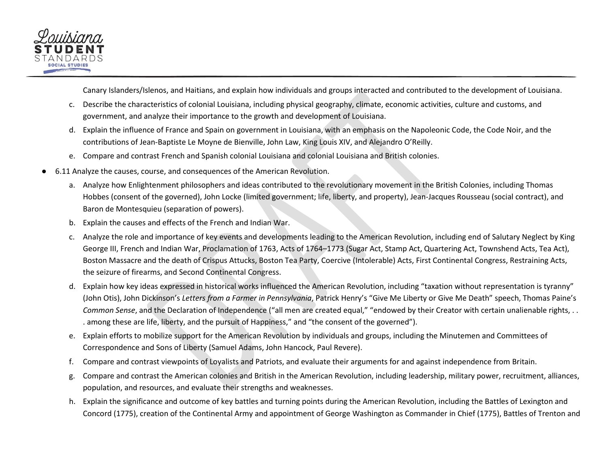

Canary Islanders/Islenos, and Haitians, and explain how individuals and groups interacted and contributed to the development of Louisiana.

- c. Describe the characteristics of colonial Louisiana, including physical geography, climate, economic activities, culture and customs, and government, and analyze their importance to the growth and development of Louisiana.
- d. Explain the influence of France and Spain on government in Louisiana, with an emphasis on the Napoleonic Code, the Code Noir, and the contributions of Jean-Baptiste Le Moyne de Bienville, John Law, King Louis XIV, and Alejandro O'Reilly.
- e. Compare and contrast French and Spanish colonial Louisiana and colonial Louisiana and British colonies.
- 6.11 Analyze the causes, course, and consequences of the American Revolution.
	- a. Analyze how Enlightenment philosophers and ideas contributed to the revolutionary movement in the British Colonies, including Thomas Hobbes (consent of the governed), John Locke (limited government; life, liberty, and property), Jean-Jacques Rousseau (social contract), and Baron de Montesquieu (separation of powers).
	- b. Explain the causes and effects of the French and Indian War.
	- c. Analyze the role and importance of key events and developments leading to the American Revolution, including end of Salutary Neglect by King George III, French and Indian War, Proclamation of 1763, Acts of 1764–1773 (Sugar Act, Stamp Act, Quartering Act, Townshend Acts, Tea Act), Boston Massacre and the death of Crispus Attucks, Boston Tea Party, Coercive (Intolerable) Acts, First Continental Congress, Restraining Acts, the seizure of firearms, and Second Continental Congress.
	- d. Explain how key ideas expressed in historical works influenced the American Revolution, including "taxation without representation is tyranny" (John Otis), John Dickinson's *Letters from a Farmer in Pennsylvania*, Patrick Henry's "Give Me Liberty or Give Me Death" speech, Thomas Paine's *Common Sense*, and the Declaration of Independence ("all men are created equal," "endowed by their Creator with certain unalienable rights, . . . among these are life, liberty, and the pursuit of Happiness," and "the consent of the governed").
	- e. Explain efforts to mobilize support for the American Revolution by individuals and groups, including the Minutemen and Committees of Correspondence and Sons of Liberty (Samuel Adams, John Hancock, Paul Revere).
	- f. Compare and contrast viewpoints of Loyalists and Patriots, and evaluate their arguments for and against independence from Britain.
	- g. Compare and contrast the American colonies and British in the American Revolution, including leadership, military power, recruitment, alliances, population, and resources, and evaluate their strengths and weaknesses.
	- h. Explain the significance and outcome of key battles and turning points during the American Revolution, including the Battles of Lexington and Concord (1775), creation of the Continental Army and appointment of George Washington as Commander in Chief (1775), Battles of Trenton and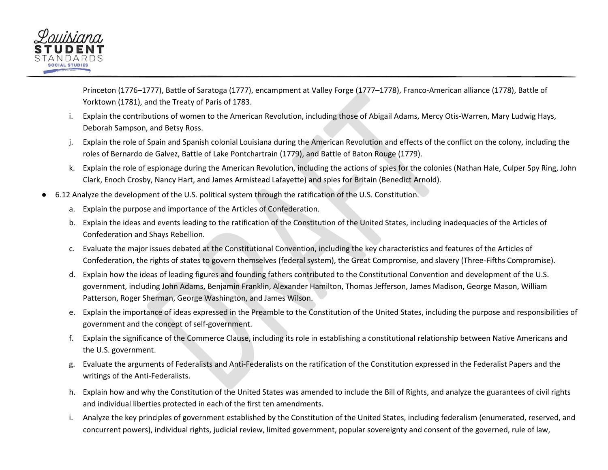

Princeton (1776–1777), Battle of Saratoga (1777), encampment at Valley Forge (1777–1778), Franco-American alliance (1778), Battle of Yorktown (1781), and the Treaty of Paris of 1783.

- i. Explain the contributions of women to the American Revolution, including those of Abigail Adams, Mercy Otis-Warren, Mary Ludwig Hays, Deborah Sampson, and Betsy Ross.
- Explain the role of Spain and Spanish colonial Louisiana during the American Revolution and effects of the conflict on the colony, including the roles of Bernardo de Galvez, Battle of Lake Pontchartrain (1779), and Battle of Baton Rouge (1779).
- k. Explain the role of espionage during the American Revolution, including the actions of spies for the colonies (Nathan Hale, Culper Spy Ring, John Clark, Enoch Crosby, Nancy Hart, and James Armistead Lafayette) and spies for Britain (Benedict Arnold).
- 6.12 Analyze the development of the U.S. political system through the ratification of the U.S. Constitution.
	- a. Explain the purpose and importance of the Articles of Confederation.
	- b. Explain the ideas and events leading to the ratification of the Constitution of the United States, including inadequacies of the Articles of Confederation and Shays Rebellion.
	- c. Evaluate the major issues debated at the Constitutional Convention, including the key characteristics and features of the Articles of Confederation, the rights of states to govern themselves (federal system), the Great Compromise, and slavery (Three-Fifths Compromise).
	- d. Explain how the ideas of leading figures and founding fathers contributed to the Constitutional Convention and development of the U.S. government, including John Adams, Benjamin Franklin, Alexander Hamilton, Thomas Jefferson, James Madison, George Mason, William Patterson, Roger Sherman, George Washington, and James Wilson.
	- e. Explain the importance of ideas expressed in the Preamble to the Constitution of the United States, including the purpose and responsibilities of government and the concept of self-government.
	- f. Explain the significance of the Commerce Clause, including its role in establishing a constitutional relationship between Native Americans and the U.S. government.
	- g. Evaluate the arguments of Federalists and Anti-Federalists on the ratification of the Constitution expressed in the Federalist Papers and the writings of the Anti-Federalists.
	- h. Explain how and why the Constitution of the United States was amended to include the Bill of Rights, and analyze the guarantees of civil rights and individual liberties protected in each of the first ten amendments.
	- i. Analyze the key principles of government established by the Constitution of the United States, including federalism (enumerated, reserved, and concurrent powers), individual rights, judicial review, limited government, popular sovereignty and consent of the governed, rule of law,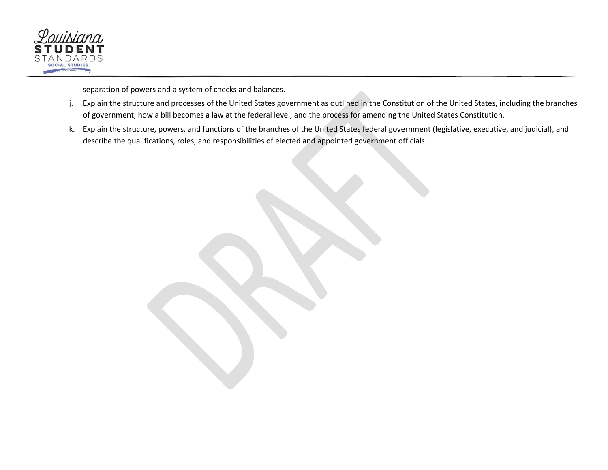

separation of powers and a system of checks and balances.

- j. Explain the structure and processes of the United States government as outlined in the Constitution of the United States, including the branches of government, how a bill becomes a law at the federal level, and the process for amending the United States Constitution.
- k. Explain the structure, powers, and functions of the branches of the United States federal government (legislative, executive, and judicial), and describe the qualifications, roles, and responsibilities of elected and appointed government officials.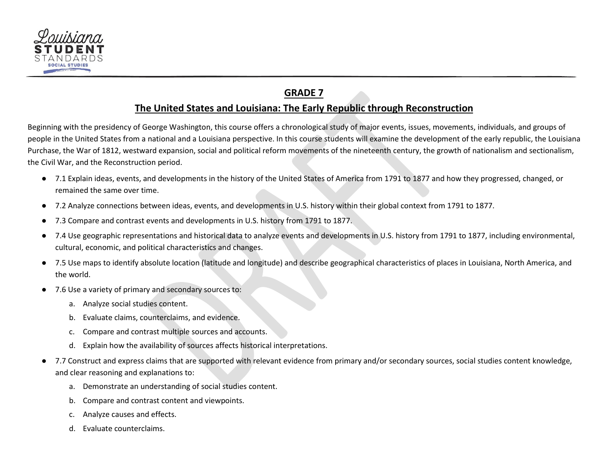

# **GRADE 7**

#### **The United States and Louisiana: The Early Republic through Reconstruction**

<span id="page-28-0"></span>Beginning with the presidency of George Washington, this course offers a chronological study of major events, issues, movements, individuals, and groups of people in the United States from a national and a Louisiana perspective. In this course students will examine the development of the early republic, the Louisiana Purchase, the War of 1812, westward expansion, social and political reform movements of the nineteenth century, the growth of nationalism and sectionalism, the Civil War, and the Reconstruction period.

- 7.1 Explain ideas, events, and developments in the history of the United States of America from 1791 to 1877 and how they progressed, changed, or remained the same over time.
- 7.2 Analyze connections between ideas, events, and developments in U.S. history within their global context from 1791 to 1877.
- 7.3 Compare and contrast events and developments in U.S. history from 1791 to 1877.
- 7.4 Use geographic representations and historical data to analyze events and developments in U.S. history from 1791 to 1877, including environmental, cultural, economic, and political characteristics and changes.
- 7.5 Use maps to identify absolute location (latitude and longitude) and describe geographical characteristics of places in Louisiana, North America, and the world.
- 7.6 Use a variety of primary and secondary sources to:
	- a. Analyze social studies content.
	- b. Evaluate claims, counterclaims, and evidence.
	- c. Compare and contrast multiple sources and accounts.
	- d. Explain how the availability of sources affects historical interpretations.
- 7.7 Construct and express claims that are supported with relevant evidence from primary and/or secondary sources, social studies content knowledge, and clear reasoning and explanations to:
	- a. Demonstrate an understanding of social studies content.
	- b. Compare and contrast content and viewpoints.
	- c. Analyze causes and effects.
	- d. Evaluate counterclaims.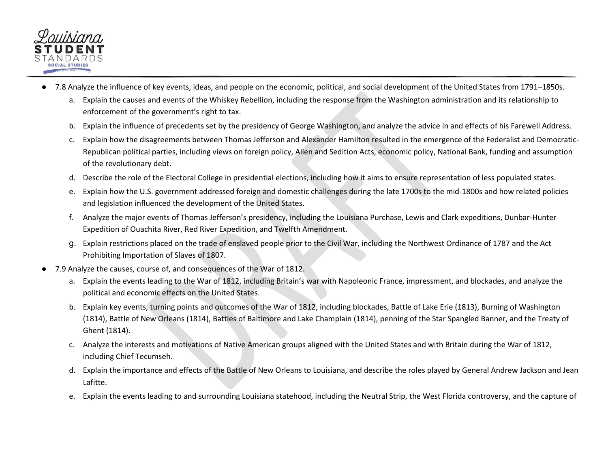

- 7.8 Analyze the influence of key events, ideas, and people on the economic, political, and social development of the United States from 1791–1850s.
	- a. Explain the causes and events of the Whiskey Rebellion, including the response from the Washington administration and its relationship to enforcement of the government's right to tax.
	- b. Explain the influence of precedents set by the presidency of George Washington, and analyze the advice in and effects of his Farewell Address.
	- c. Explain how the disagreements between Thomas Jefferson and Alexander Hamilton resulted in the emergence of the Federalist and Democratic-Republican political parties, including views on foreign policy, Alien and Sedition Acts, economic policy, National Bank, funding and assumption of the revolutionary debt.
	- d. Describe the role of the Electoral College in presidential elections, including how it aims to ensure representation of less populated states.
	- e. Explain how the U.S. government addressed foreign and domestic challenges during the late 1700s to the mid-1800s and how related policies and legislation influenced the development of the United States.
	- f. Analyze the major events of Thomas Jefferson's presidency, including the Louisiana Purchase, Lewis and Clark expeditions, Dunbar-Hunter Expedition of Ouachita River, Red River Expedition, and Twelfth Amendment.
	- g. Explain restrictions placed on the trade of enslaved people prior to the Civil War, including the Northwest Ordinance of 1787 and the Act Prohibiting Importation of Slaves of 1807.
- 7.9 Analyze the causes, course of, and consequences of the War of 1812.
	- a. Explain the events leading to the War of 1812, including Britain's war with Napoleonic France, impressment, and blockades, and analyze the political and economic effects on the United States.
	- b. Explain key events, turning points and outcomes of the War of 1812, including blockades, Battle of Lake Erie (1813), Burning of Washington (1814), Battle of New Orleans (1814), Battles of Baltimore and Lake Champlain (1814), penning of the Star Spangled Banner, and the Treaty of Ghent (1814).
	- c. Analyze the interests and motivations of Native American groups aligned with the United States and with Britain during the War of 1812, including Chief Tecumseh.
	- d. Explain the importance and effects of the Battle of New Orleans to Louisiana, and describe the roles played by General Andrew Jackson and Jean Lafitte.
	- e. Explain the events leading to and surrounding Louisiana statehood, including the Neutral Strip, the West Florida controversy, and the capture of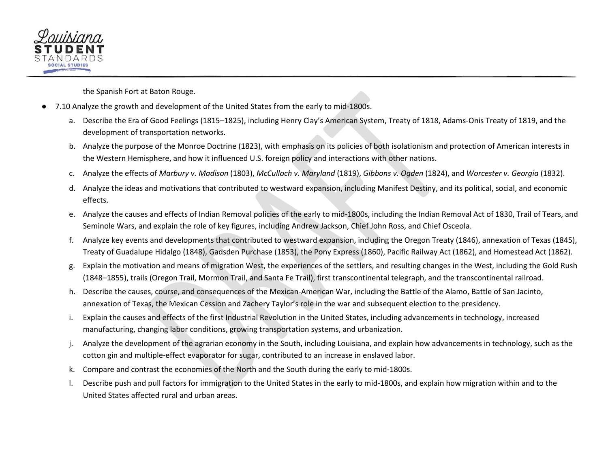

the Spanish Fort at Baton Rouge.

- 7.10 Analyze the growth and development of the United States from the early to mid-1800s.
	- a. Describe the Era of Good Feelings (1815–1825), including Henry Clay's American System, Treaty of 1818, Adams-Onis Treaty of 1819, and the development of transportation networks.
	- b. Analyze the purpose of the Monroe Doctrine (1823), with emphasis on its policies of both isolationism and protection of American interests in the Western Hemisphere, and how it influenced U.S. foreign policy and interactions with other nations.
	- c. Analyze the effects of *Marbury v. Madison* (1803), *McCulloch v. Maryland* (1819), *Gibbons v. Ogden* (1824), and *Worcester v. Georgia* (1832).
	- d. Analyze the ideas and motivations that contributed to westward expansion, including Manifest Destiny, and its political, social, and economic effects.
	- e. Analyze the causes and effects of Indian Removal policies of the early to mid-1800s, including the Indian Removal Act of 1830, Trail of Tears, and Seminole Wars, and explain the role of key figures, including Andrew Jackson, Chief John Ross, and Chief Osceola.
	- f. Analyze key events and developments that contributed to westward expansion, including the Oregon Treaty (1846), annexation of Texas (1845), Treaty of Guadalupe Hidalgo (1848), Gadsden Purchase (1853), the Pony Express (1860), Pacific Railway Act (1862), and Homestead Act (1862).
	- g. Explain the motivation and means of migration West, the experiences of the settlers, and resulting changes in the West, including the Gold Rush (1848–1855), trails (Oregon Trail, Mormon Trail, and Santa Fe Trail), first transcontinental telegraph, and the transcontinental railroad.
	- h. Describe the causes, course, and consequences of the Mexican-American War, including the Battle of the Alamo, Battle of San Jacinto, annexation of Texas, the Mexican Cession and Zachery Taylor's role in the war and subsequent election to the presidency.
	- i. Explain the causes and effects of the first Industrial Revolution in the United States, including advancements in technology, increased manufacturing, changing labor conditions, growing transportation systems, and urbanization.
	- j. Analyze the development of the agrarian economy in the South, including Louisiana, and explain how advancements in technology, such as the cotton gin and multiple-effect evaporator for sugar, contributed to an increase in enslaved labor.
	- k. Compare and contrast the economies of the North and the South during the early to mid-1800s.
	- l. Describe push and pull factors for immigration to the United States in the early to mid-1800s, and explain how migration within and to the United States affected rural and urban areas.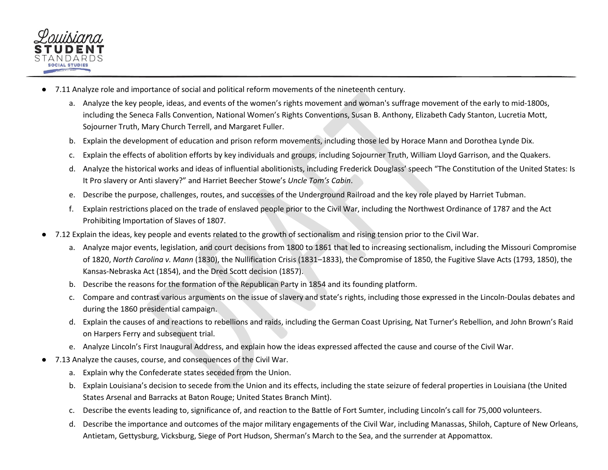

- 7.11 Analyze role and importance of social and political reform movements of the nineteenth century.
	- a. Analyze the key people, ideas, and events of the women's rights movement and woman's suffrage movement of the early to mid-1800s, including the Seneca Falls Convention, National Women's Rights Conventions, Susan B. Anthony, Elizabeth Cady Stanton, Lucretia Mott, Sojourner Truth, Mary Church Terrell, and Margaret Fuller.
	- b. Explain the development of education and prison reform movements, including those led by Horace Mann and Dorothea Lynde Dix.
	- c. Explain the effects of abolition efforts by key individuals and groups, including Sojourner Truth, William Lloyd Garrison, and the Quakers.
	- d. Analyze the historical works and ideas of influential abolitionists, including Frederick Douglass' speech "The Constitution of the United States: Is It Pro slavery or Anti slavery?" and Harriet Beecher Stowe's *Uncle Tom's Cabin*.
	- e. Describe the purpose, challenges, routes, and successes of the Underground Railroad and the key role played by Harriet Tubman.
	- f. Explain restrictions placed on the trade of enslaved people prior to the Civil War, including the Northwest Ordinance of 1787 and the Act Prohibiting Importation of Slaves of 1807.
- 7.12 Explain the ideas, key people and events related to the growth of sectionalism and rising tension prior to the Civil War.
	- a. Analyze major events, legislation, and court decisions from 1800 to 1861 that led to increasing sectionalism, including the Missouri Compromise of 1820, *North Carolina v. Mann* (1830), the Nullification Crisis (1831–1833), the Compromise of 1850, the Fugitive Slave Acts (1793, 1850), the Kansas-Nebraska Act (1854), and the Dred Scott decision (1857).
	- b. Describe the reasons for the formation of the Republican Party in 1854 and its founding platform.
	- c. Compare and contrast various arguments on the issue of slavery and state's rights, including those expressed in the Lincoln-Doulas debates and during the 1860 presidential campaign.
	- d. Explain the causes of and reactions to rebellions and raids, including the German Coast Uprising, Nat Turner's Rebellion, and John Brown's Raid on Harpers Ferry and subsequent trial.
	- e. Analyze Lincoln's First Inaugural Address, and explain how the ideas expressed affected the cause and course of the Civil War.
- 7.13 Analyze the causes, course, and consequences of the Civil War.
	- a. Explain why the Confederate states seceded from the Union.
	- b. Explain Louisiana's decision to secede from the Union and its effects, including the state seizure of federal properties in Louisiana (the United States Arsenal and Barracks at Baton Rouge; United States Branch Mint).
	- c. Describe the events leading to, significance of, and reaction to the Battle of Fort Sumter, including Lincoln's call for 75,000 volunteers.
	- d. Describe the importance and outcomes of the major military engagements of the Civil War, including Manassas, Shiloh, Capture of New Orleans, Antietam, Gettysburg, Vicksburg, Siege of Port Hudson, Sherman's March to the Sea, and the surrender at Appomattox.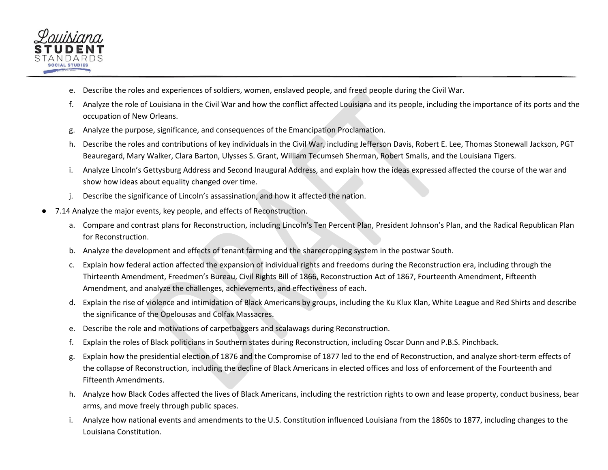

- e. Describe the roles and experiences of soldiers, women, enslaved people, and freed people during the Civil War.
- f. Analyze the role of Louisiana in the Civil War and how the conflict affected Louisiana and its people, including the importance of its ports and the occupation of New Orleans.
- g. Analyze the purpose, significance, and consequences of the Emancipation Proclamation.
- h. Describe the roles and contributions of key individuals in the Civil War, including Jefferson Davis, Robert E. Lee, Thomas Stonewall Jackson, PGT Beauregard, Mary Walker, Clara Barton, Ulysses S. Grant, William Tecumseh Sherman, Robert Smalls, and the Louisiana Tigers*.*
- i. Analyze Lincoln's Gettysburg Address and Second Inaugural Address, and explain how the ideas expressed affected the course of the war and show how ideas about equality changed over time.
- j. Describe the significance of Lincoln's assassination, and how it affected the nation.
- 7.14 Analyze the major events, key people, and effects of Reconstruction.
	- a. Compare and contrast plans for Reconstruction, including Lincoln's Ten Percent Plan, President Johnson's Plan, and the Radical Republican Plan for Reconstruction.
	- b. Analyze the development and effects of tenant farming and the sharecropping system in the postwar South.
	- c. Explain how federal action affected the expansion of individual rights and freedoms during the Reconstruction era, including through the Thirteenth Amendment, Freedmen's Bureau, Civil Rights Bill of 1866, Reconstruction Act of 1867, Fourteenth Amendment, Fifteenth Amendment, and analyze the challenges, achievements, and effectiveness of each.
	- d. Explain the rise of violence and intimidation of Black Americans by groups, including the Ku Klux Klan, White League and Red Shirts and describe the significance of the Opelousas and Colfax Massacres.
	- e. Describe the role and motivations of carpetbaggers and scalawags during Reconstruction.
	- f. Explain the roles of Black politicians in Southern states during Reconstruction, including Oscar Dunn and P.B.S. Pinchback.
	- g. Explain how the presidential election of 1876 and the Compromise of 1877 led to the end of Reconstruction, and analyze short-term effects of the collapse of Reconstruction, including the decline of Black Americans in elected offices and loss of enforcement of the Fourteenth and Fifteenth Amendments.
	- h. Analyze how Black Codes affected the lives of Black Americans, including the restriction rights to own and lease property, conduct business, bear arms, and move freely through public spaces.
	- i. Analyze how national events and amendments to the U.S. Constitution influenced Louisiana from the 1860s to 1877, including changes to the Louisiana Constitution.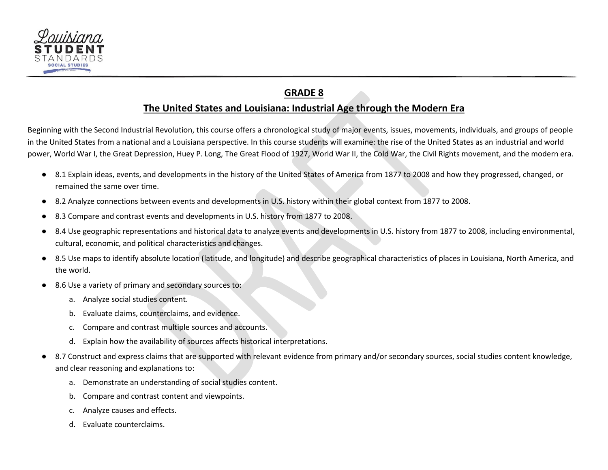

# **GRADE 8**

#### **The United States and Louisiana: Industrial Age through the Modern Era**

<span id="page-33-0"></span>Beginning with the Second Industrial Revolution, this course offers a chronological study of major events, issues, movements, individuals, and groups of people in the United States from a national and a Louisiana perspective. In this course students will examine: the rise of the United States as an industrial and world power, World War I, the Great Depression, Huey P. Long, The Great Flood of 1927, World War II, the Cold War, the Civil Rights movement, and the modern era.

- 8.1 Explain ideas, events, and developments in the history of the United States of America from 1877 to 2008 and how they progressed, changed, or remained the same over time.
- 8.2 Analyze connections between events and developments in U.S. history within their global context from 1877 to 2008.
- 8.3 Compare and contrast events and developments in U.S. history from 1877 to 2008.
- 8.4 Use geographic representations and historical data to analyze events and developments in U.S. history from 1877 to 2008, including environmental, cultural, economic, and political characteristics and changes.
- 8.5 Use maps to identify absolute location (latitude, and longitude) and describe geographical characteristics of places in Louisiana, North America, and the world.
- 8.6 Use a variety of primary and secondary sources to:
	- a. Analyze social studies content.
	- b. Evaluate claims, counterclaims, and evidence.
	- c. Compare and contrast multiple sources and accounts.
	- d. Explain how the availability of sources affects historical interpretations.
- 8.7 Construct and express claims that are supported with relevant evidence from primary and/or secondary sources, social studies content knowledge, and clear reasoning and explanations to:
	- a. Demonstrate an understanding of social studies content.
	- b. Compare and contrast content and viewpoints.
	- c. Analyze causes and effects.
	- d. Evaluate counterclaims.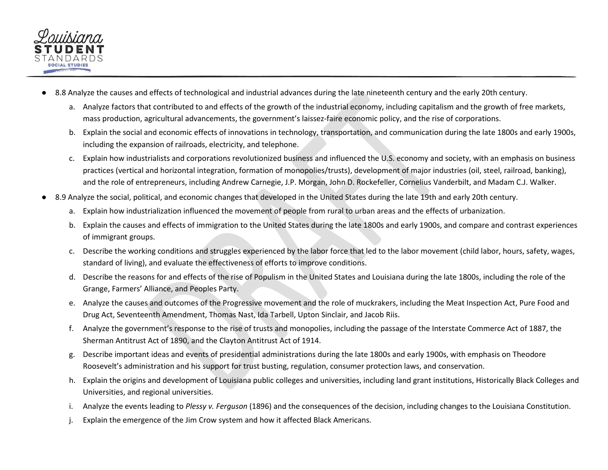

- 8.8 Analyze the causes and effects of technological and industrial advances during the late nineteenth century and the early 20th century.
	- a. Analyze factors that contributed to and effects of the growth of the industrial economy, including capitalism and the growth of free markets, mass production, agricultural advancements, the government's laissez-faire economic policy, and the rise of corporations.
	- b. Explain the social and economic effects of innovations in technology, transportation, and communication during the late 1800s and early 1900s, including the expansion of railroads, electricity, and telephone.
	- c. Explain how industrialists and corporations revolutionized business and influenced the U.S. economy and society, with an emphasis on business practices (vertical and horizontal integration, formation of monopolies/trusts), development of major industries (oil, steel, railroad, banking), and the role of entrepreneurs, including Andrew Carnegie, J.P. Morgan, John D. Rockefeller, Cornelius Vanderbilt, and Madam C.J. Walker.
- 8.9 Analyze the social, political, and economic changes that developed in the United States during the late 19th and early 20th century.
	- a. Explain how industrialization influenced the movement of people from rural to urban areas and the effects of urbanization.
	- b. Explain the causes and effects of immigration to the United States during the late 1800s and early 1900s, and compare and contrast experiences of immigrant groups.
	- c. Describe the working conditions and struggles experienced by the labor force that led to the labor movement (child labor, hours, safety, wages, standard of living), and evaluate the effectiveness of efforts to improve conditions.
	- d. Describe the reasons for and effects of the rise of Populism in the United States and Louisiana during the late 1800s, including the role of the Grange, Farmers' Alliance, and Peoples Party.
	- e. Analyze the causes and outcomes of the Progressive movement and the role of muckrakers, including the Meat Inspection Act, Pure Food and Drug Act, Seventeenth Amendment, Thomas Nast, Ida Tarbell, Upton Sinclair, and Jacob Riis.
	- f. Analyze the government's response to the rise of trusts and monopolies, including the passage of the Interstate Commerce Act of 1887, the Sherman Antitrust Act of 1890, and the Clayton Antitrust Act of 1914.
	- g. Describe important ideas and events of presidential administrations during the late 1800s and early 1900s, with emphasis on Theodore Roosevelt's administration and his support for trust busting, regulation, consumer protection laws, and conservation.
	- h. Explain the origins and development of Louisiana public colleges and universities, including land grant institutions, Historically Black Colleges and Universities, and regional universities.
	- i. Analyze the events leading to *Plessy v. Ferguson* (1896) and the consequences of the decision, including changes to the Louisiana Constitution.
	- Explain the emergence of the Jim Crow system and how it affected Black Americans.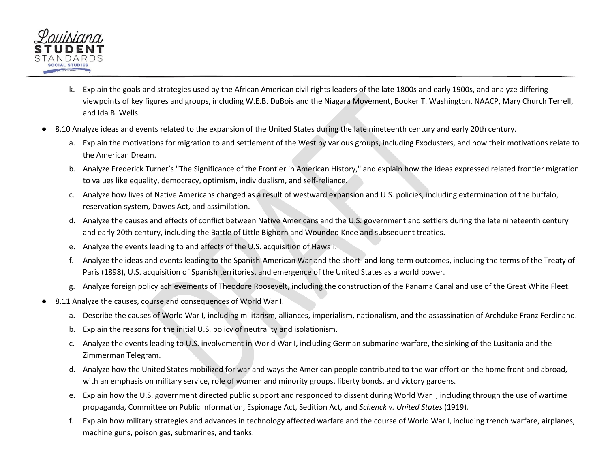

- k. Explain the goals and strategies used by the African American civil rights leaders of the late 1800s and early 1900s, and analyze differing viewpoints of key figures and groups, including W.E.B. DuBois and the Niagara Movement, Booker T. Washington, NAACP, Mary Church Terrell, and Ida B. Wells.
- 8.10 Analyze ideas and events related to the expansion of the United States during the late nineteenth century and early 20th century.
	- a. Explain the motivations for migration to and settlement of the West by various groups, including Exodusters, and how their motivations relate to the American Dream.
	- b. Analyze Frederick Turner's "The Significance of the Frontier in American History," and explain how the ideas expressed related frontier migration to values like equality, democracy, optimism, individualism, and self-reliance.
	- c. Analyze how lives of Native Americans changed as a result of westward expansion and U.S. policies, including extermination of the buffalo, reservation system, Dawes Act, and assimilation.
	- d. Analyze the causes and effects of conflict between Native Americans and the U.S. government and settlers during the late nineteenth century and early 20th century, including the Battle of Little Bighorn and Wounded Knee and subsequent treaties.
	- e. Analyze the events leading to and effects of the U.S. acquisition of Hawaii.
	- f. Analyze the ideas and events leading to the Spanish-American War and the short- and long-term outcomes, including the terms of the Treaty of Paris (1898), U.S. acquisition of Spanish territories, and emergence of the United States as a world power.
	- g. Analyze foreign policy achievements of Theodore Roosevelt, including the construction of the Panama Canal and use of the Great White Fleet.
- 8.11 Analyze the causes, course and consequences of World War I.
	- a. Describe the causes of World War I, including militarism, alliances, imperialism, nationalism, and the assassination of Archduke Franz Ferdinand.
	- b. Explain the reasons for the initial U.S. policy of neutrality and isolationism.
	- c. Analyze the events leading to U.S. involvement in World War I, including German submarine warfare, the sinking of the Lusitania and the Zimmerman Telegram.
	- d. Analyze how the United States mobilized for war and ways the American people contributed to the war effort on the home front and abroad, with an emphasis on military service, role of women and minority groups, liberty bonds, and victory gardens.
	- e. Explain how the U.S. government directed public support and responded to dissent during World War I, including through the use of wartime propaganda, Committee on Public Information, Espionage Act, Sedition Act, and *Schenck v. United States* (1919)*.*
	- f. Explain how military strategies and advances in technology affected warfare and the course of World War I, including trench warfare, airplanes, machine guns, poison gas, submarines, and tanks.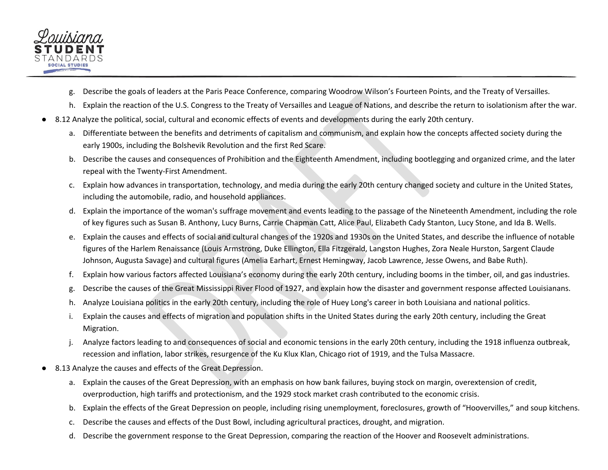

- g. Describe the goals of leaders at the Paris Peace Conference, comparing Woodrow Wilson's Fourteen Points, and the Treaty of Versailles.
- h. Explain the reaction of the U.S. Congress to the Treaty of Versailles and League of Nations, and describe the return to isolationism after the war.
- 8.12 Analyze the political, social, cultural and economic effects of events and developments during the early 20th century.
	- a. Differentiate between the benefits and detriments of capitalism and communism, and explain how the concepts affected society during the early 1900s, including the Bolshevik Revolution and the first Red Scare.
	- b. Describe the causes and consequences of Prohibition and the Eighteenth Amendment, including bootlegging and organized crime, and the later repeal with the Twenty-First Amendment.
	- c. Explain how advances in transportation, technology, and media during the early 20th century changed society and culture in the United States, including the automobile, radio, and household appliances.
	- d. Explain the importance of the woman's suffrage movement and events leading to the passage of the Nineteenth Amendment, including the role of key figures such as Susan B. Anthony, Lucy Burns, Carrie Chapman Catt, Alice Paul, Elizabeth Cady Stanton, Lucy Stone, and Ida B. Wells.
	- e. Explain the causes and effects of social and cultural changes of the 1920s and 1930s on the United States, and describe the influence of notable figures of the Harlem Renaissance (Louis Armstrong, Duke Ellington, Ella Fitzgerald, Langston Hughes, Zora Neale Hurston, Sargent Claude Johnson, Augusta Savage) and cultural figures (Amelia Earhart, Ernest Hemingway, Jacob Lawrence, Jesse Owens, and Babe Ruth).
	- f. Explain how various factors affected Louisiana's economy during the early 20th century, including booms in the timber, oil, and gas industries.
	- g. Describe the causes of the Great Mississippi River Flood of 1927, and explain how the disaster and government response affected Louisianans.
	- h. Analyze Louisiana politics in the early 20th century, including the role of Huey Long's career in both Louisiana and national politics.
	- i. Explain the causes and effects of migration and population shifts in the United States during the early 20th century, including the Great Migration.
	- j. Analyze factors leading to and consequences of social and economic tensions in the early 20th century, including the 1918 influenza outbreak, recession and inflation, labor strikes, resurgence of the Ku Klux Klan, Chicago riot of 1919, and the Tulsa Massacre.
- 8.13 Analyze the causes and effects of the Great Depression.
	- a. Explain the causes of the Great Depression, with an emphasis on how bank failures, buying stock on margin, overextension of credit, overproduction, high tariffs and protectionism, and the 1929 stock market crash contributed to the economic crisis.
	- b. Explain the effects of the Great Depression on people, including rising unemployment, foreclosures, growth of "Hoovervilles," and soup kitchens.
	- c. Describe the causes and effects of the Dust Bowl, including agricultural practices, drought, and migration.
	- d. Describe the government response to the Great Depression, comparing the reaction of the Hoover and Roosevelt administrations.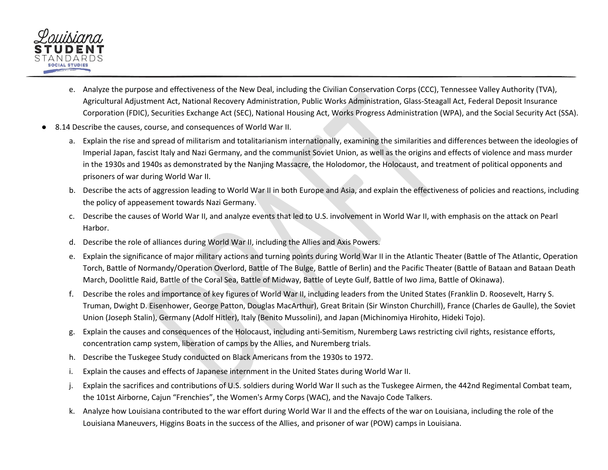

- e. Analyze the purpose and effectiveness of the New Deal, including the Civilian Conservation Corps (CCC), Tennessee Valley Authority (TVA), Agricultural Adjustment Act, National Recovery Administration, Public Works Administration, Glass-Steagall Act, Federal Deposit Insurance Corporation (FDIC), Securities Exchange Act (SEC), National Housing Act, Works Progress Administration (WPA), and the Social Security Act (SSA).
- 8.14 Describe the causes, course, and consequences of World War II.
	- a. Explain the rise and spread of militarism and totalitarianism internationally, examining the similarities and differences between the ideologies of Imperial Japan, fascist Italy and Nazi Germany, and the communist Soviet Union, as well as the origins and effects of violence and mass murder in the 1930s and 1940s as demonstrated by the Nanjing Massacre, the Holodomor, the Holocaust, and treatment of political opponents and prisoners of war during World War II.
	- b. Describe the acts of aggression leading to World War II in both Europe and Asia, and explain the effectiveness of policies and reactions, including the policy of appeasement towards Nazi Germany.
	- c. Describe the causes of World War II, and analyze events that led to U.S. involvement in World War II, with emphasis on the attack on Pearl Harbor.
	- d. Describe the role of alliances during World War II, including the Allies and Axis Powers.
	- e. Explain the significance of major military actions and turning points during World War II in the Atlantic Theater (Battle of The Atlantic, Operation Torch, Battle of Normandy/Operation Overlord, Battle of The Bulge, Battle of Berlin) and the Pacific Theater (Battle of Bataan and Bataan Death March, Doolittle Raid, Battle of the Coral Sea, Battle of Midway, Battle of Leyte Gulf, Battle of Iwo Jima, Battle of Okinawa).
	- f. Describe the roles and importance of key figures of World War II, including leaders from the United States (Franklin D. Roosevelt, Harry S. Truman, Dwight D. Eisenhower, George Patton, Douglas MacArthur), Great Britain (Sir Winston Churchill), France (Charles de Gaulle), the Soviet Union (Joseph Stalin), Germany (Adolf Hitler), Italy (Benito Mussolini), and Japan (Michinomiya Hirohito, Hideki Tojo).
	- g. Explain the causes and consequences of the Holocaust, including anti-Semitism, Nuremberg Laws restricting civil rights, resistance efforts, concentration camp system, liberation of camps by the Allies, and Nuremberg trials.
	- h. Describe the Tuskegee Study conducted on Black Americans from the 1930s to 1972.
	- i. Explain the causes and effects of Japanese internment in the United States during World War II.
	- j. Explain the sacrifices and contributions of U.S. soldiers during World War II such as the Tuskegee Airmen, the 442nd Regimental Combat team, the 101st Airborne, Cajun "Frenchies", the Women's Army Corps (WAC), and the Navajo Code Talkers.
	- k. Analyze how Louisiana contributed to the war effort during World War II and the effects of the war on Louisiana, including the role of the Louisiana Maneuvers, Higgins Boats in the success of the Allies, and prisoner of war (POW) camps in Louisiana.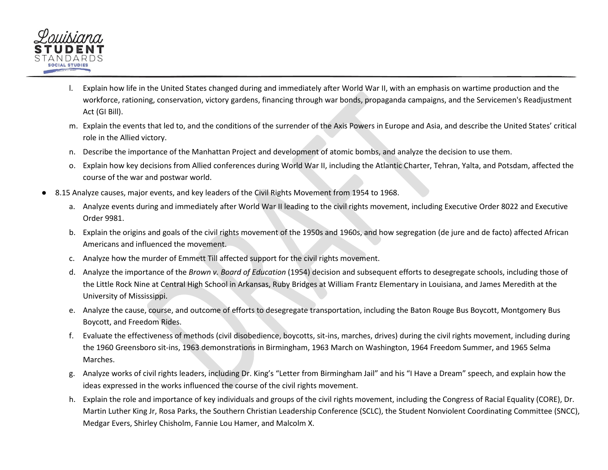

- l. Explain how life in the United States changed during and immediately after World War II, with an emphasis on wartime production and the workforce, rationing, conservation, victory gardens, financing through war bonds, propaganda campaigns, and the Servicemen's Readjustment Act (GI Bill).
- m. Explain the events that led to, and the conditions of the surrender of the Axis Powers in Europe and Asia, and describe the United States' critical role in the Allied victory.
- n. Describe the importance of the Manhattan Project and development of atomic bombs, and analyze the decision to use them.
- o. Explain how key decisions from Allied conferences during World War II, including the Atlantic Charter, Tehran, Yalta, and Potsdam, affected the course of the war and postwar world.
- 8.15 Analyze causes, major events, and key leaders of the Civil Rights Movement from 1954 to 1968.
	- a. Analyze events during and immediately after World War II leading to the civil rights movement, including Executive Order 8022 and Executive Order 9981.
	- b. Explain the origins and goals of the civil rights movement of the 1950s and 1960s, and how segregation (de jure and de facto) affected African Americans and influenced the movement.
	- c. Analyze how the murder of Emmett Till affected support for the civil rights movement.
	- d. Analyze the importance of the *Brown v. Board of Education* (1954) decision and subsequent efforts to desegregate schools, including those of the Little Rock Nine at Central High School in Arkansas, Ruby Bridges at William Frantz Elementary in Louisiana, and James Meredith at the University of Mississippi.
	- e. Analyze the cause, course, and outcome of efforts to desegregate transportation, including the Baton Rouge Bus Boycott, Montgomery Bus Boycott, and Freedom Rides.
	- f. Evaluate the effectiveness of methods (civil disobedience, boycotts, sit-ins, marches, drives) during the civil rights movement, including during the 1960 Greensboro sit-ins, 1963 demonstrations in Birmingham, 1963 March on Washington, 1964 Freedom Summer, and 1965 Selma Marches.
	- g. Analyze works of civil rights leaders, including Dr. King's "Letter from Birmingham Jail" and his "I Have a Dream" speech, and explain how the ideas expressed in the works influenced the course of the civil rights movement.
	- h. Explain the role and importance of key individuals and groups of the civil rights movement, including the Congress of Racial Equality (CORE), Dr. Martin Luther King Jr, Rosa Parks, the Southern Christian Leadership Conference (SCLC), the Student Nonviolent Coordinating Committee (SNCC), Medgar Evers, Shirley Chisholm, Fannie Lou Hamer, and Malcolm X.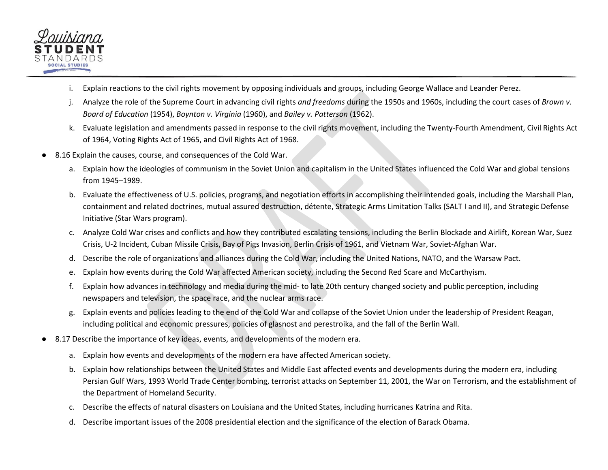

- i. Explain reactions to the civil rights movement by opposing individuals and groups, including George Wallace and Leander Perez.
- j. Analyze the role of the Supreme Court in advancing civil rights *and freedoms* during the 1950s and 1960s, including the court cases of *Brown v. Board of Education* (1954), *Boynton v. Virginia* (1960), and *Bailey v. Patterson* (1962).
- k. Evaluate legislation and amendments passed in response to the civil rights movement, including the Twenty-Fourth Amendment, Civil Rights Act of 1964, Voting Rights Act of 1965, and Civil Rights Act of 1968.
- 8.16 Explain the causes, course, and consequences of the Cold War.
	- a. Explain how the ideologies of communism in the Soviet Union and capitalism in the United States influenced the Cold War and global tensions from 1945–1989.
	- b. Evaluate the effectiveness of U.S. policies, programs, and negotiation efforts in accomplishing their intended goals, including the Marshall Plan, containment and related doctrines, mutual assured destruction, détente, Strategic Arms Limitation Talks (SALT I and II), and Strategic Defense Initiative (Star Wars program).
	- c. Analyze Cold War crises and conflicts and how they contributed escalating tensions, including the Berlin Blockade and Airlift, Korean War, Suez Crisis, U-2 Incident, Cuban Missile Crisis, Bay of Pigs Invasion, Berlin Crisis of 1961, and Vietnam War, Soviet-Afghan War.
	- d. Describe the role of organizations and alliances during the Cold War, including the United Nations, NATO, and the Warsaw Pact.
	- e. Explain how events during the Cold War affected American society, including the Second Red Scare and McCarthyism.
	- f. Explain how advances in technology and media during the mid- to late 20th century changed society and public perception, including newspapers and television, the space race, and the nuclear arms race.
	- g. Explain events and policies leading to the end of the Cold War and collapse of the Soviet Union under the leadership of President Reagan, including political and economic pressures, policies of glasnost and perestroika, and the fall of the Berlin Wall.
- 8.17 Describe the importance of key ideas, events, and developments of the modern era.
	- a. Explain how events and developments of the modern era have affected American society.
	- b. Explain how relationships between the United States and Middle East affected events and developments during the modern era, including Persian Gulf Wars, 1993 World Trade Center bombing, terrorist attacks on September 11, 2001, the War on Terrorism, and the establishment of the Department of Homeland Security.
	- c. Describe the effects of natural disasters on Louisiana and the United States, including hurricanes Katrina and Rita.
	- d. Describe important issues of the 2008 presidential election and the significance of the election of Barack Obama.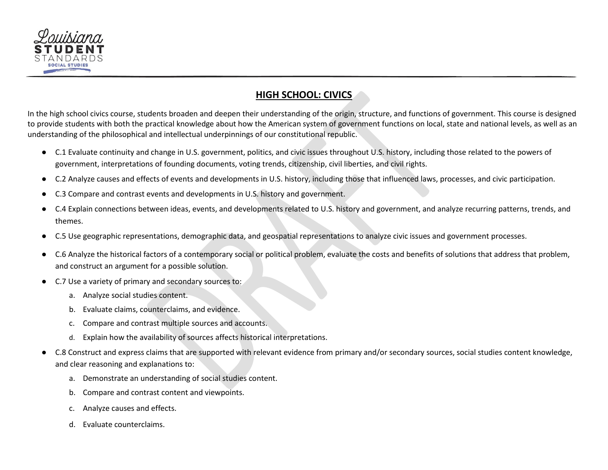

# **HIGH SCHOOL: CIVICS**

<span id="page-40-0"></span>In the high school civics course, students broaden and deepen their understanding of the origin, structure, and functions of government. This course is designed to provide students with both the practical knowledge about how the American system of government functions on local, state and national levels, as well as an understanding of the philosophical and intellectual underpinnings of our constitutional republic.

- C.1 Evaluate continuity and change in U.S. government, politics, and civic issues throughout U.S. history, including those related to the powers of government, interpretations of founding documents, voting trends, citizenship, civil liberties, and civil rights.
- C.2 Analyze causes and effects of events and developments in U.S. history, including those that influenced laws, processes, and civic participation.
- C.3 Compare and contrast events and developments in U.S. history and government.
- C.4 Explain connections between ideas, events, and developments related to U.S. history and government, and analyze recurring patterns, trends, and themes.
- C.5 Use geographic representations, demographic data, and geospatial representations to analyze civic issues and government processes.
- C.6 Analyze the historical factors of a contemporary social or political problem, evaluate the costs and benefits of solutions that address that problem, and construct an argument for a possible solution.
- C.7 Use a variety of primary and secondary sources to:
	- a. Analyze social studies content.
	- b. Evaluate claims, counterclaims, and evidence.
	- c. Compare and contrast multiple sources and accounts.
	- d. Explain how the availability of sources affects historical interpretations.
- C.8 Construct and express claims that are supported with relevant evidence from primary and/or secondary sources, social studies content knowledge, and clear reasoning and explanations to:
	- a. Demonstrate an understanding of social studies content.
	- b. Compare and contrast content and viewpoints.
	- c. Analyze causes and effects.
	- d. Evaluate counterclaims.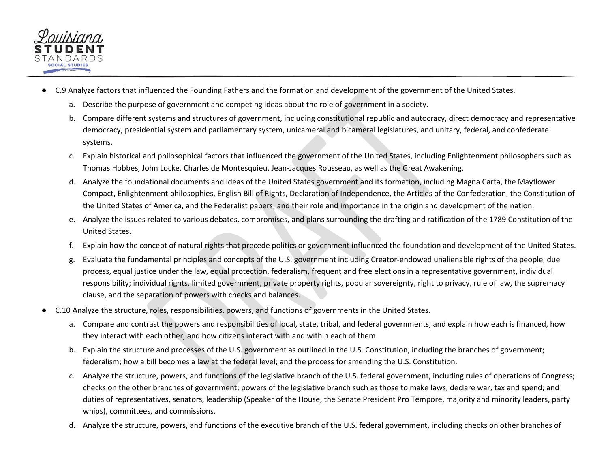

- C.9 Analyze factors that influenced the Founding Fathers and the formation and development of the government of the United States.
	- a. Describe the purpose of government and competing ideas about the role of government in a society.
	- b. Compare different systems and structures of government, including constitutional republic and autocracy, direct democracy and representative democracy, presidential system and parliamentary system, unicameral and bicameral legislatures, and unitary, federal, and confederate systems.
	- c. Explain historical and philosophical factors that influenced the government of the United States, including Enlightenment philosophers such as Thomas Hobbes, John Locke, Charles de Montesquieu, Jean-Jacques Rousseau, as well as the Great Awakening.
	- d. Analyze the foundational documents and ideas of the United States government and its formation, including Magna Carta, the Mayflower Compact, Enlightenment philosophies, English Bill of Rights, Declaration of Independence, the Articles of the Confederation, the Constitution of the United States of America, and the Federalist papers, and their role and importance in the origin and development of the nation.
	- e. Analyze the issues related to various debates, compromises, and plans surrounding the drafting and ratification of the 1789 Constitution of the United States.
	- f. Explain how the concept of natural rights that precede politics or government influenced the foundation and development of the United States.
	- g. Evaluate the fundamental principles and concepts of the U.S. government including Creator-endowed unalienable rights of the people, due process, equal justice under the law, equal protection, federalism, frequent and free elections in a representative government, individual responsibility; individual rights, limited government, private property rights, popular sovereignty, right to privacy, rule of law, the supremacy clause, and the separation of powers with checks and balances.
- C.10 Analyze the structure, roles, responsibilities, powers, and functions of governments in the United States.
	- a. Compare and contrast the powers and responsibilities of local, state, tribal, and federal governments, and explain how each is financed, how they interact with each other, and how citizens interact with and within each of them.
	- b. Explain the structure and processes of the U.S. government as outlined in the U.S. Constitution, including the branches of government; federalism; how a bill becomes a law at the federal level; and the process for amending the U.S. Constitution.
	- c. Analyze the structure, powers, and functions of the legislative branch of the U.S. federal government, including rules of operations of Congress; checks on the other branches of government; powers of the legislative branch such as those to make laws, declare war, tax and spend; and duties of representatives, senators, leadership (Speaker of the House, the Senate President Pro Tempore, majority and minority leaders, party whips), committees, and commissions.
	- d. Analyze the structure, powers, and functions of the executive branch of the U.S. federal government, including checks on other branches of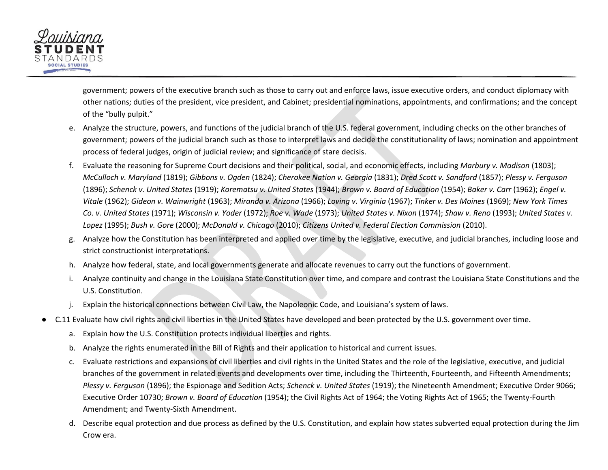

government; powers of the executive branch such as those to carry out and enforce laws, issue executive orders, and conduct diplomacy with other nations; duties of the president, vice president, and Cabinet; presidential nominations, appointments, and confirmations; and the concept of the "bully pulpit."

- e. Analyze the structure, powers, and functions of the judicial branch of the U.S. federal government, including checks on the other branches of government; powers of the judicial branch such as those to interpret laws and decide the constitutionality of laws; nomination and appointment process of federal judges, origin of judicial review; and significance of stare decisis.
- f. Evaluate the reasoning for Supreme Court decisions and their political, social, and economic effects, including *Marbury v. Madison* (1803); *McCulloch v. Maryland* (1819); *Gibbons v. Ogden* (1824); *Cherokee Nation v. Georgia* (1831); *Dred Scott v. Sandford* (1857); *Plessy v. Ferguson* (1896); *Schenck v. United States* (1919); *Korematsu v. United States* (1944); *Brown v. Board of Education* (1954); *Baker v. Carr* (1962); *Engel v. Vitale* (1962); *Gideon v. Wainwright* (1963); *Miranda v. Arizona* (1966); *Loving v. Virginia* (1967); *Tinker v. Des Moines* (1969); *New York Times Co. v. United States* (1971); *Wisconsin v. Yoder* (1972); *Roe v. Wade* (1973); *United States v. Nixon* (1974); *Shaw v. Reno* (1993); *United States v. Lopez* (1995); *Bush v. Gore* (2000); *McDonald v. Chicago* (2010); *Citizens United v. Federal Election Commission* (2010).
- g. Analyze how the Constitution has been interpreted and applied over time by the legislative, executive, and judicial branches, including loose and strict constructionist interpretations.
- h. Analyze how federal, state, and local governments generate and allocate revenues to carry out the functions of government.
- i. Analyze continuity and change in the Louisiana State Constitution over time, and compare and contrast the Louisiana State Constitutions and the U.S. Constitution.
- Explain the historical connections between Civil Law, the Napoleonic Code, and Louisiana's system of laws.
- C.11 Evaluate how civil rights and civil liberties in the United States have developed and been protected by the U.S. government over time.
	- a. Explain how the U.S. Constitution protects individual liberties and rights.
	- b. Analyze the rights enumerated in the Bill of Rights and their application to historical and current issues.
	- c. Evaluate restrictions and expansions of civil liberties and civil rights in the United States and the role of the legislative, executive, and judicial branches of the government in related events and developments over time, including the Thirteenth, Fourteenth, and Fifteenth Amendments; *Plessy v. Ferguson* (1896); the Espionage and Sedition Acts; *Schenck v. United States* (1919); the Nineteenth Amendment; Executive Order 9066; Executive Order 10730; *Brown v. Board of Education* (1954); the Civil Rights Act of 1964; the Voting Rights Act of 1965; the Twenty-Fourth Amendment; and Twenty-Sixth Amendment.
	- d. Describe equal protection and due process as defined by the U.S. Constitution, and explain how states subverted equal protection during the Jim Crow era.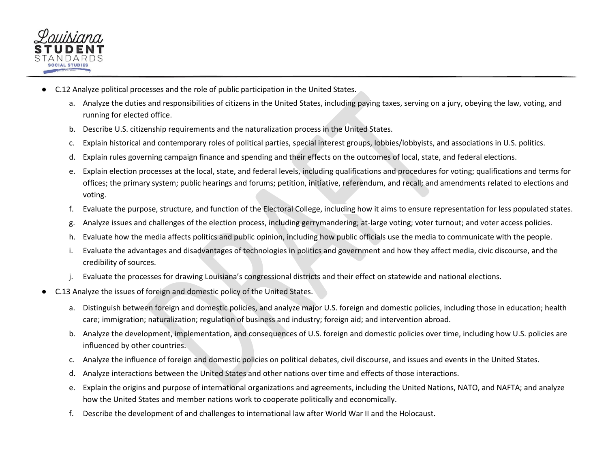

- C.12 Analyze political processes and the role of public participation in the United States.
	- a. Analyze the duties and responsibilities of citizens in the United States, including paying taxes, serving on a jury, obeying the law, voting, and running for elected office.
	- b. Describe U.S. citizenship requirements and the naturalization process in the United States.
	- c. Explain historical and contemporary roles of political parties, special interest groups, lobbies/lobbyists, and associations in U.S. politics.
	- d. Explain rules governing campaign finance and spending and their effects on the outcomes of local, state, and federal elections.
	- e. Explain election processes at the local, state, and federal levels, including qualifications and procedures for voting; qualifications and terms for offices; the primary system; public hearings and forums; petition, initiative, referendum, and recall; and amendments related to elections and voting.
	- f. Evaluate the purpose, structure, and function of the Electoral College, including how it aims to ensure representation for less populated states.
	- g. Analyze issues and challenges of the election process, including gerrymandering; at-large voting; voter turnout; and voter access policies.
	- h. Evaluate how the media affects politics and public opinion, including how public officials use the media to communicate with the people.
	- i. Evaluate the advantages and disadvantages of technologies in politics and government and how they affect media, civic discourse, and the credibility of sources.
	- Evaluate the processes for drawing Louisiana's congressional districts and their effect on statewide and national elections.
- C.13 Analyze the issues of foreign and domestic policy of the United States.
	- a. Distinguish between foreign and domestic policies, and analyze major U.S. foreign and domestic policies, including those in education; health care; immigration; naturalization; regulation of business and industry; foreign aid; and intervention abroad.
	- b. Analyze the development, implementation, and consequences of U.S. foreign and domestic policies over time, including how U.S. policies are influenced by other countries.
	- c. Analyze the influence of foreign and domestic policies on political debates, civil discourse, and issues and events in the United States.
	- d. Analyze interactions between the United States and other nations over time and effects of those interactions.
	- e. Explain the origins and purpose of international organizations and agreements, including the United Nations, NATO, and NAFTA; and analyze how the United States and member nations work to cooperate politically and economically.
	- f. Describe the development of and challenges to international law after World War II and the Holocaust.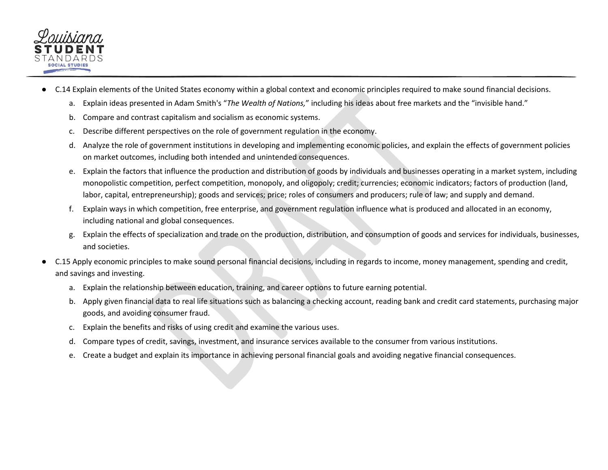

- C.14 Explain elements of the United States economy within a global context and economic principles required to make sound financial decisions.
	- a. Explain ideas presented in Adam Smith's "*The Wealth of Nations,*" including his ideas about free markets and the "invisible hand."
	- b. Compare and contrast capitalism and socialism as economic systems.
	- c. Describe different perspectives on the role of government regulation in the economy.
	- d. Analyze the role of government institutions in developing and implementing economic policies, and explain the effects of government policies on market outcomes, including both intended and unintended consequences.
	- e. Explain the factors that influence the production and distribution of goods by individuals and businesses operating in a market system, including monopolistic competition, perfect competition, monopoly, and oligopoly; credit; currencies; economic indicators; factors of production (land, labor, capital, entrepreneurship); goods and services; price; roles of consumers and producers; rule of law; and supply and demand.
	- f. Explain ways in which competition, free enterprise, and government regulation influence what is produced and allocated in an economy, including national and global consequences.
	- g. Explain the effects of specialization and trade on the production, distribution, and consumption of goods and services for individuals, businesses, and societies.
- C.15 Apply economic principles to make sound personal financial decisions, including in regards to income, money management, spending and credit, and savings and investing.
	- a. Explain the relationship between education, training, and career options to future earning potential.
	- b. Apply given financial data to real life situations such as balancing a checking account, reading bank and credit card statements, purchasing major goods, and avoiding consumer fraud.
	- c. Explain the benefits and risks of using credit and examine the various uses.
	- d. Compare types of credit, savings, investment, and insurance services available to the consumer from various institutions.
	- e. Create a budget and explain its importance in achieving personal financial goals and avoiding negative financial consequences.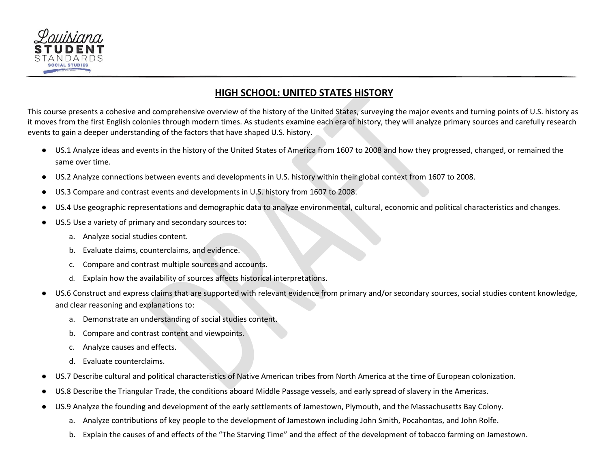

#### **HIGH SCHOOL: UNITED STATES HISTORY**

<span id="page-45-0"></span>This course presents a cohesive and comprehensive overview of the history of the United States, surveying the major events and turning points of U.S. history as it moves from the first English colonies through modern times. As students examine each era of history, they will analyze primary sources and carefully research events to gain a deeper understanding of the factors that have shaped U.S. history.

- US.1 Analyze ideas and events in the history of the United States of America from 1607 to 2008 and how they progressed, changed, or remained the same over time.
- US.2 Analyze connections between events and developments in U.S. history within their global context from 1607 to 2008.
- US.3 Compare and contrast events and developments in U.S. history from 1607 to 2008.
- US.4 Use geographic representations and demographic data to analyze environmental, cultural, economic and political characteristics and changes.
- US.5 Use a variety of primary and secondary sources to:
	- a. Analyze social studies content.
	- b. Evaluate claims, counterclaims, and evidence.
	- c. Compare and contrast multiple sources and accounts.
	- d. Explain how the availability of sources affects historical interpretations.
- US.6 Construct and express claims that are supported with relevant evidence from primary and/or secondary sources, social studies content knowledge, and clear reasoning and explanations to:
	- a. Demonstrate an understanding of social studies content.
	- b. Compare and contrast content and viewpoints.
	- c. Analyze causes and effects.
	- d. Evaluate counterclaims.
- US.7 Describe cultural and political characteristics of Native American tribes from North America at the time of European colonization.
- US.8 Describe the Triangular Trade, the conditions aboard Middle Passage vessels, and early spread of slavery in the Americas.
- US.9 Analyze the founding and development of the early settlements of Jamestown, Plymouth, and the Massachusetts Bay Colony.
	- a. Analyze contributions of key people to the development of Jamestown including John Smith, Pocahontas, and John Rolfe.
	- b. Explain the causes of and effects of the "The Starving Time" and the effect of the development of tobacco farming on Jamestown.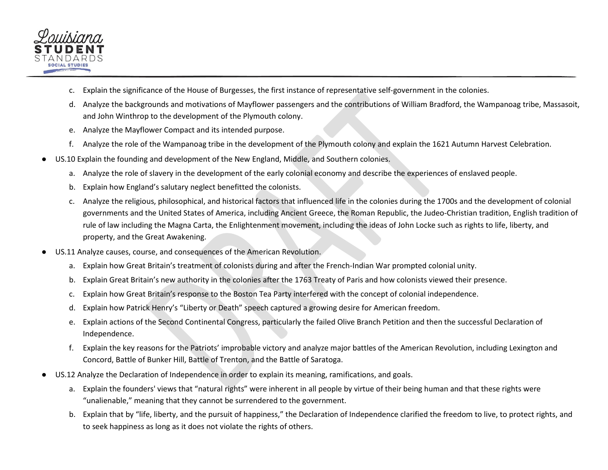

- c. Explain the significance of the House of Burgesses, the first instance of representative self-government in the colonies.
- d. Analyze the backgrounds and motivations of Mayflower passengers and the contributions of William Bradford, the Wampanoag tribe, Massasoit, and John Winthrop to the development of the Plymouth colony.
- e. Analyze the Mayflower Compact and its intended purpose.
- f. Analyze the role of the Wampanoag tribe in the development of the Plymouth colony and explain the 1621 Autumn Harvest Celebration.
- US.10 Explain the founding and development of the New England, Middle, and Southern colonies.
	- a. Analyze the role of slavery in the development of the early colonial economy and describe the experiences of enslaved people.
	- b. Explain how England's salutary neglect benefitted the colonists.
	- c. Analyze the religious, philosophical, and historical factors that influenced life in the colonies during the 1700s and the development of colonial governments and the United States of America, including Ancient Greece, the Roman Republic, the Judeo-Christian tradition, English tradition of rule of law including the Magna Carta, the Enlightenment movement, including the ideas of John Locke such as rights to life, liberty, and property, and the Great Awakening.
- US.11 Analyze causes, course, and consequences of the American Revolution.
	- a. Explain how Great Britain's treatment of colonists during and after the French-Indian War prompted colonial unity.
	- b. Explain Great Britain's new authority in the colonies after the 1763 Treaty of Paris and how colonists viewed their presence.
	- c. Explain how Great Britain's response to the Boston Tea Party interfered with the concept of colonial independence.
	- d. Explain how Patrick Henry's "Liberty or Death" speech captured a growing desire for American freedom.
	- e. Explain actions of the Second Continental Congress, particularly the failed Olive Branch Petition and then the successful Declaration of Independence.
	- f. Explain the key reasons for the Patriots' improbable victory and analyze major battles of the American Revolution, including Lexington and Concord, Battle of Bunker Hill, Battle of Trenton, and the Battle of Saratoga.
- US.12 Analyze the Declaration of Independence in order to explain its meaning, ramifications, and goals.
	- a. Explain the founders' views that "natural rights" were inherent in all people by virtue of their being human and that these rights were "unalienable," meaning that they cannot be surrendered to the government.
	- b. Explain that by "life, liberty, and the pursuit of happiness," the Declaration of Independence clarified the freedom to live, to protect rights, and to seek happiness as long as it does not violate the rights of others.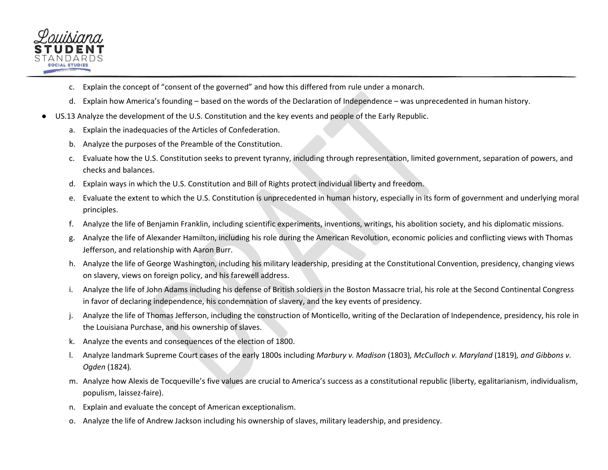

- c. Explain the concept of "consent of the governed" and how this differed from rule under a monarch.
- d. Explain how America's founding based on the words of the Declaration of Independence was unprecedented in human history.
- US.13 Analyze the development of the U.S. Constitution and the key events and people of the Early Republic.
	- a. Explain the inadequacies of the Articles of Confederation.
	- b. Analyze the purposes of the Preamble of the Constitution.
	- c. Evaluate how the U.S. Constitution seeks to prevent tyranny, including through representation, limited government, separation of powers, and checks and balances.
	- d. Explain ways in which the U.S. Constitution and Bill of Rights protect individual liberty and freedom.
	- e. Evaluate the extent to which the U.S. Constitution is unprecedented in human history, especially in its form of government and underlying moral principles.
	- f. Analyze the life of Benjamin Franklin, including scientific experiments, inventions, writings, his abolition society, and his diplomatic missions.
	- g. Analyze the life of Alexander Hamilton, including his role during the American Revolution, economic policies and conflicting views with Thomas Jefferson, and relationship with Aaron Burr.
	- h. Analyze the life of George Washington, including his military leadership, presiding at the Constitutional Convention, presidency, changing views on slavery, views on foreign policy, and his farewell address.
	- i. Analyze the life of John Adams including his defense of British soldiers in the Boston Massacre trial, his role at the Second Continental Congress in favor of declaring independence, his condemnation of slavery, and the key events of presidency.
	- Analyze the life of Thomas Jefferson, including the construction of Monticello, writing of the Declaration of Independence, presidency, his role in the Louisiana Purchase, and his ownership of slaves.
	- k. Analyze the events and consequences of the election of 1800.
	- l. Analyze landmark Supreme Court cases of the early 1800s including *Marbury v. Madison* (1803)*, McCulloch v. Maryland* (1819)*, and Gibbons v. Ogden* (1824)*.*
	- m. Analyze how Alexis de Tocqueville's five values are crucial to America's success as a constitutional republic (liberty, egalitarianism, individualism, populism, laissez-faire).
	- n. Explain and evaluate the concept of American exceptionalism.
	- o. Analyze the life of Andrew Jackson including his ownership of slaves, military leadership, and presidency.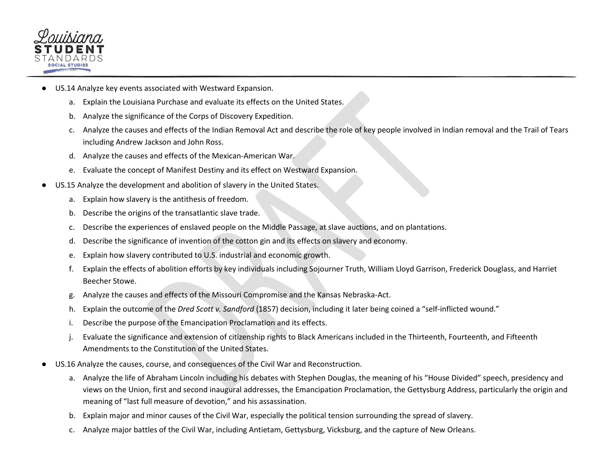

- US.14 Analyze key events associated with Westward Expansion.
	- a. Explain the Louisiana Purchase and evaluate its effects on the United States.
	- b. Analyze the significance of the Corps of Discovery Expedition.
	- c. Analyze the causes and effects of the Indian Removal Act and describe the role of key people involved in Indian removal and the Trail of Tears including Andrew Jackson and John Ross.
	- d. Analyze the causes and effects of the Mexican-American War.
	- e. Evaluate the concept of Manifest Destiny and its effect on Westward Expansion.
- US.15 Analyze the development and abolition of slavery in the United States.
	- a. Explain how slavery is the antithesis of freedom.
	- b. Describe the origins of the transatlantic slave trade.
	- c. Describe the experiences of enslaved people on the Middle Passage, at slave auctions, and on plantations.
	- d. Describe the significance of invention of the cotton gin and its effects on slavery and economy.
	- e. Explain how slavery contributed to U.S. industrial and economic growth.
	- f. Explain the effects of abolition efforts by key individuals including Sojourner Truth, William Lloyd Garrison, Frederick Douglass, and Harriet Beecher Stowe.
	- g. Analyze the causes and effects of the Missouri Compromise and the Kansas Nebraska-Act.
	- h. Explain the outcome of the *Dred Scott v. Sandford* (1857) decision, including it later being coined a "self-inflicted wound."
	- i. Describe the purpose of the Emancipation Proclamation and its effects.
	- j. Evaluate the significance and extension of citizenship rights to Black Americans included in the Thirteenth, Fourteenth, and Fifteenth Amendments to the Constitution of the United States.
- US.16 Analyze the causes, course, and consequences of the Civil War and Reconstruction.
	- a. Analyze the life of Abraham Lincoln including his debates with Stephen Douglas, the meaning of his "House Divided" speech, presidency and views on the Union, first and second inaugural addresses, the Emancipation Proclamation, the Gettysburg Address, particularly the origin and meaning of "last full measure of devotion," and his assassination.
	- b. Explain major and minor causes of the Civil War, especially the political tension surrounding the spread of slavery.
	- c. Analyze major battles of the Civil War, including Antietam, Gettysburg, Vicksburg, and the capture of New Orleans.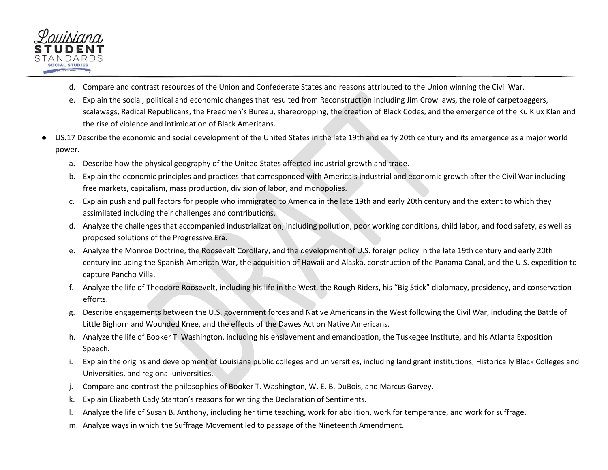

- d. Compare and contrast resources of the Union and Confederate States and reasons attributed to the Union winning the Civil War.
- e. Explain the social, political and economic changes that resulted from Reconstruction including Jim Crow laws, the role of carpetbaggers, scalawags, Radical Republicans, the Freedmen's Bureau, sharecropping, the creation of Black Codes, and the emergence of the Ku Klux Klan and the rise of violence and intimidation of Black Americans.
- US.17 Describe the economic and social development of the United States in the late 19th and early 20th century and its emergence as a major world power.
	- a. Describe how the physical geography of the United States affected industrial growth and trade.
	- b. Explain the economic principles and practices that corresponded with America's industrial and economic growth after the Civil War including free markets, capitalism, mass production, division of labor, and monopolies.
	- c. Explain push and pull factors for people who immigrated to America in the late 19th and early 20th century and the extent to which they assimilated including their challenges and contributions.
	- d. Analyze the challenges that accompanied industrialization, including pollution, poor working conditions, child labor, and food safety, as well as proposed solutions of the Progressive Era.
	- e. Analyze the Monroe Doctrine, the Roosevelt Corollary, and the development of U.S. foreign policy in the late 19th century and early 20th century including the Spanish-American War, the acquisition of Hawaii and Alaska, construction of the Panama Canal, and the U.S. expedition to capture Pancho Villa.
	- f. Analyze the life of Theodore Roosevelt, including his life in the West, the Rough Riders, his "Big Stick" diplomacy, presidency, and conservation efforts.
	- g. Describe engagements between the U.S. government forces and Native Americans in the West following the Civil War, including the Battle of Little Bighorn and Wounded Knee, and the effects of the Dawes Act on Native Americans.
	- h. Analyze the life of Booker T. Washington, including his enslavement and emancipation, the Tuskegee Institute, and his Atlanta Exposition Speech.
	- i. Explain the origins and development of Louisiana public colleges and universities, including land grant institutions, Historically Black Colleges and Universities, and regional universities.
	- j. Compare and contrast the philosophies of Booker T. Washington, W. E. B. DuBois, and Marcus Garvey.
	- k. Explain Elizabeth Cady Stanton's reasons for writing the Declaration of Sentiments.
	- l. Analyze the life of Susan B. Anthony, including her time teaching, work for abolition, work for temperance, and work for suffrage.
	- m. Analyze ways in which the Suffrage Movement led to passage of the Nineteenth Amendment.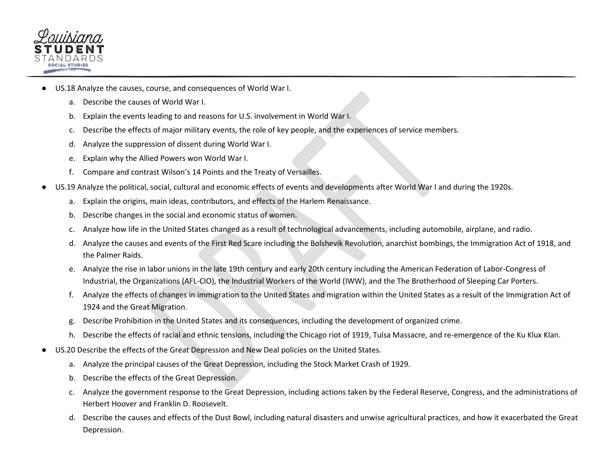

- US.18 Analyze the causes, course, and consequences of World War I.
	- a. Describe the causes of World War I.
	- b. Explain the events leading to and reasons for U.S. involvement in World War I.
	- c. Describe the effects of major military events, the role of key people, and the experiences of service members.
	- d. Analyze the suppression of dissent during World War I.
	- e. Explain why the Allied Powers won World War I.
	- f. Compare and contrast Wilson's 14 Points and the Treaty of Versailles.
- US.19 Analyze the political, social, cultural and economic effects of events and developments after World War I and during the 1920s.
	- a. Explain the origins, main ideas, contributors, and effects of the Harlem Renaissance.
	- b. Describe changes in the social and economic status of women.
	- c. Analyze how life in the United States changed as a result of technological advancements, including automobile, airplane, and radio.
	- d. Analyze the causes and events of the First Red Scare including the Bolshevik Revolution, anarchist bombings, the Immigration Act of 1918, and the Palmer Raids.
	- e. Analyze the rise in labor unions in the late 19th century and early 20th century including the American Federation of Labor-Congress of Industrial, the Organizations (AFL-CIO), the Industrial Workers of the World (IWW), and the The Brotherhood of Sleeping Car Porters.
	- f. Analyze the effects of changes in immigration to the United States and migration within the United States as a result of the Immigration Act of 1924 and the Great Migration.
	- g. Describe Prohibition in the United States and its consequences, including the development of organized crime.
	- h. Describe the effects of racial and ethnic tensions, including the Chicago riot of 1919, Tulsa Massacre, and re-emergence of the Ku Klux Klan.
- US.20 Describe the effects of the Great Depression and New Deal policies on the United States.
	- a. Analyze the principal causes of the Great Depression, including the Stock Market Crash of 1929.
	- b. Describe the effects of the Great Depression.
	- c. Analyze the government response to the Great Depression, including actions taken by the Federal Reserve, Congress, and the administrations of Herbert Hoover and Franklin D. Roosevelt.
	- d. Describe the causes and effects of the Dust Bowl, including natural disasters and unwise agricultural practices, and how it exacerbated the Great Depression.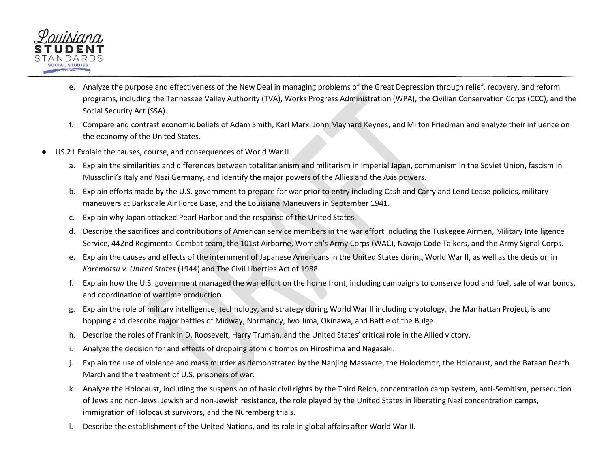

- e. Analyze the purpose and effectiveness of the New Deal in managing problems of the Great Depression through relief, recovery, and reform programs, including the Tennessee Valley Authority (TVA), Works Progress Administration (WPA), the Civilian Conservation Corps (CCC), and the Social Security Act (SSA).
- f. Compare and contrast economic beliefs of Adam Smith, Karl Marx, John Maynard Keynes, and Milton Friedman and analyze their influence on the economy of the United States.
- US.21 Explain the causes, course, and consequences of World War II.
	- a. Explain the similarities and differences between totalitarianism and militarism in Imperial Japan, communism in the Soviet Union, fascism in Mussolini's Italy and Nazi Germany, and identify the major powers of the Allies and the Axis powers.
	- b. Explain efforts made by the U.S. government to prepare for war prior to entry including Cash and Carry and Lend Lease policies, military maneuvers at Barksdale Air Force Base, and the Louisiana Maneuvers in September 1941.
	- c. Explain why Japan attacked Pearl Harbor and the response of the United States.
	- d. Describe the sacrifices and contributions of American service members in the war effort including the Tuskegee Airmen, Military Intelligence Service, 442nd Regimental Combat team, the 101st Airborne, Women's Army Corps (WAC), Navajo Code Talkers, and the Army Signal Corps.
	- e. Explain the causes and effects of the internment of Japanese Americans in the United States during World War II, as well as the decision in *Korematsu v. United States* (1944) and The Civil Liberties Act of 1988.
	- f. Explain how the U.S. government managed the war effort on the home front, including campaigns to conserve food and fuel, sale of war bonds, and coordination of wartime production.
	- g. Explain the role of military intelligence, technology, and strategy during World War II including cryptology, the Manhattan Project, island hopping and describe major battles of Midway, Normandy, Iwo Jima, Okinawa, and Battle of the Bulge.
	- h. Describe the roles of Franklin D. Roosevelt, Harry Truman, and the United States' critical role in the Allied victory.
	- i. Analyze the decision for and effects of dropping atomic bombs on Hiroshima and Nagasaki.
	- j. Explain the use of violence and mass murder as demonstrated by the Nanjing Massacre, the Holodomor, the Holocaust, and the Bataan Death March and the treatment of U.S. prisoners of war.
	- k. Analyze the Holocaust, including the suspension of basic civil rights by the Third Reich, concentration camp system, anti-Semitism, persecution of Jews and non-Jews, Jewish and non-Jewish resistance, the role played by the United States in liberating Nazi concentration camps, immigration of Holocaust survivors, and the Nuremberg trials.
	- l. Describe the establishment of the United Nations, and its role in global affairs after World War II.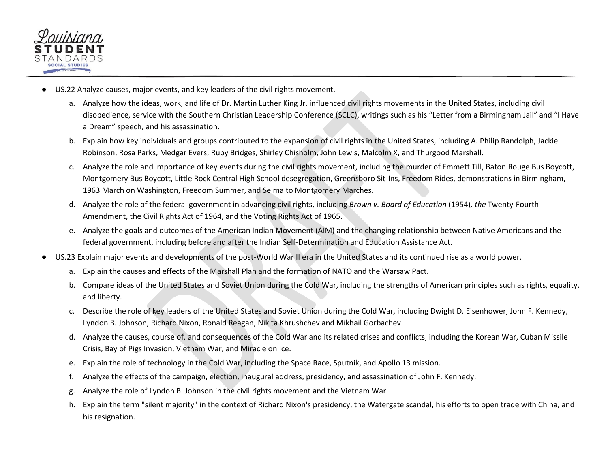

- US.22 Analyze causes, major events, and key leaders of the civil rights movement.
	- a. Analyze how the ideas, work, and life of Dr. Martin Luther King Jr. influenced civil rights movements in the United States, including civil disobedience, service with the Southern Christian Leadership Conference (SCLC), writings such as his "Letter from a Birmingham Jail" and "I Have a Dream" speech, and his assassination.
	- b. Explain how key individuals and groups contributed to the expansion of civil rights in the United States, including A. Philip Randolph, Jackie Robinson, Rosa Parks, Medgar Evers, Ruby Bridges, Shirley Chisholm, John Lewis, Malcolm X, and Thurgood Marshall.
	- c. Analyze the role and importance of key events during the civil rights movement, including the murder of Emmett Till, Baton Rouge Bus Boycott, Montgomery Bus Boycott, Little Rock Central High School desegregation, Greensboro Sit-Ins, Freedom Rides, demonstrations in Birmingham, 1963 March on Washington, Freedom Summer, and Selma to Montgomery Marches.
	- d. Analyze the role of the federal government in advancing civil rights, including *Brown v. Board of Education* (1954)*, the* Twenty-Fourth Amendment, the Civil Rights Act of 1964, and the Voting Rights Act of 1965.
	- e. Analyze the goals and outcomes of the American Indian Movement (AIM) and the changing relationship between Native Americans and the federal government, including before and after the Indian Self-Determination and Education Assistance Act.
- US.23 Explain major events and developments of the post-World War II era in the United States and its continued rise as a world power.
	- a. Explain the causes and effects of the Marshall Plan and the formation of NATO and the Warsaw Pact.
	- b. Compare ideas of the United States and Soviet Union during the Cold War, including the strengths of American principles such as rights, equality, and liberty.
	- c. Describe the role of key leaders of the United States and Soviet Union during the Cold War, including Dwight D. Eisenhower, John F. Kennedy, Lyndon B. Johnson, Richard Nixon, Ronald Reagan, Nikita Khrushchev and Mikhail Gorbachev.
	- d. Analyze the causes, course of, and consequences of the Cold War and its related crises and conflicts, including the Korean War, Cuban Missile Crisis, Bay of Pigs Invasion, Vietnam War, and Miracle on Ice.
	- e. Explain the role of technology in the Cold War, including the Space Race, Sputnik, and Apollo 13 mission.
	- f. Analyze the effects of the campaign, election, inaugural address, presidency, and assassination of John F. Kennedy.
	- g. Analyze the role of Lyndon B. Johnson in the civil rights movement and the Vietnam War.
	- h. Explain the term "silent majority" in the context of Richard Nixon's presidency, the Watergate scandal, his efforts to open trade with China, and his resignation.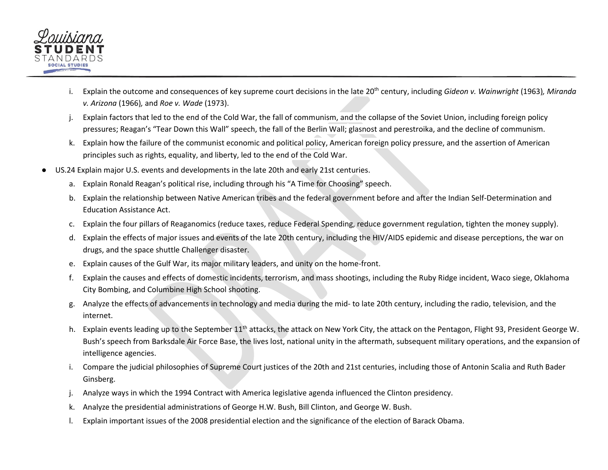

- i. Explain the outcome and consequences of key supreme court decisions in the late 20<sup>th</sup> century, including *Gideon v. Wainwright* (1963), Miranda *v. Arizona* (1966)*,* and *Roe v. Wade* (1973).
- j. Explain factors that led to the end of the Cold War, the fall of communism, and the collapse of the Soviet Union, including foreign policy pressures; Reagan's "Tear Down this Wall" speech, the fall of the Berlin Wall; glasnost and perestroika, and the decline of communism.
- k. Explain how the failure of the communist economic and political policy, American foreign policy pressure, and the assertion of American principles such as rights, equality, and liberty, led to the end of the Cold War.
- US.24 Explain major U.S. events and developments in the late 20th and early 21st centuries.
	- a. Explain Ronald Reagan's political rise, including through his "A Time for Choosing" speech.
	- b. Explain the relationship between Native American tribes and the federal government before and after the Indian Self-Determination and Education Assistance Act.
	- c. Explain the four pillars of Reaganomics (reduce taxes, reduce Federal Spending, reduce government regulation, tighten the money supply).
	- d. Explain the effects of major issues and events of the late 20th century, including the HIV/AIDS epidemic and disease perceptions, the war on drugs, and the space shuttle Challenger disaster.
	- e. Explain causes of the Gulf War, its major military leaders, and unity on the home-front.
	- f. Explain the causes and effects of domestic incidents, terrorism, and mass shootings, including the Ruby Ridge incident, Waco siege, Oklahoma City Bombing, and Columbine High School shooting.
	- g. Analyze the effects of advancements in technology and media during the mid- to late 20th century, including the radio, television, and the internet.
	- h. Explain events leading up to the September 11<sup>th</sup> attacks, the attack on New York City, the attack on the Pentagon, Flight 93, President George W. Bush's speech from Barksdale Air Force Base, the lives lost, national unity in the aftermath, subsequent military operations, and the expansion of intelligence agencies.
	- i. Compare the judicial philosophies of Supreme Court justices of the 20th and 21st centuries, including those of Antonin Scalia and Ruth Bader Ginsberg.
	- j. Analyze ways in which the 1994 Contract with America legislative agenda influenced the Clinton presidency.
	- k. Analyze the presidential administrations of George H.W. Bush, Bill Clinton, and George W. Bush.
	- l. Explain important issues of the 2008 presidential election and the significance of the election of Barack Obama.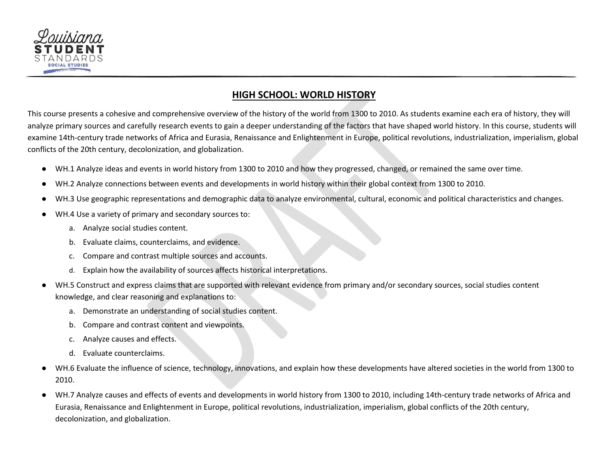

### <span id="page-54-0"></span>**HIGH SCHOOL: WORLD HISTORY**

This course presents a cohesive and comprehensive overview of the history of the world from 1300 to 2010. As students examine each era of history, they will analyze primary sources and carefully research events to gain a deeper understanding of the factors that have shaped world history. In this course, students will examine 14th-century trade networks of Africa and Eurasia, Renaissance and Enlightenment in Europe, political revolutions, industrialization, imperialism, global conflicts of the 20th century, decolonization, and globalization.

- WH.1 Analyze ideas and events in world history from 1300 to 2010 and how they progressed, changed, or remained the same over time.
- WH.2 Analyze connections between events and developments in world history within their global context from 1300 to 2010.
- WH.3 Use geographic representations and demographic data to analyze environmental, cultural, economic and political characteristics and changes.
- WH.4 Use a variety of primary and secondary sources to:
	- a. Analyze social studies content.
	- b. Evaluate claims, counterclaims, and evidence.
	- c. Compare and contrast multiple sources and accounts.
	- d. Explain how the availability of sources affects historical interpretations.
- WH.5 Construct and express claims that are supported with relevant evidence from primary and/or secondary sources, social studies content knowledge, and clear reasoning and explanations to:
	- a. Demonstrate an understanding of social studies content.
	- b. Compare and contrast content and viewpoints.
	- c. Analyze causes and effects.
	- d. Evaluate counterclaims.
- WH.6 Evaluate the influence of science, technology, innovations, and explain how these developments have altered societies in the world from 1300 to 2010.
- WH.7 Analyze causes and effects of events and developments in world history from 1300 to 2010, including 14th-century trade networks of Africa and Eurasia, Renaissance and Enlightenment in Europe, political revolutions, industrialization, imperialism, global conflicts of the 20th century, decolonization, and globalization.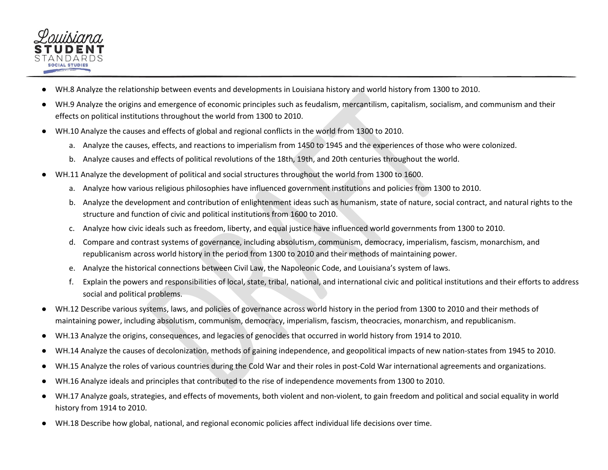

- WH.8 Analyze the relationship between events and developments in Louisiana history and world history from 1300 to 2010.
- WH.9 Analyze the origins and emergence of economic principles such as feudalism, mercantilism, capitalism, socialism, and communism and their effects on political institutions throughout the world from 1300 to 2010.
- WH.10 Analyze the causes and effects of global and regional conflicts in the world from 1300 to 2010.
	- a. Analyze the causes, effects, and reactions to imperialism from 1450 to 1945 and the experiences of those who were colonized.
	- b. Analyze causes and effects of political revolutions of the 18th, 19th, and 20th centuries throughout the world.
- WH.11 Analyze the development of political and social structures throughout the world from 1300 to 1600.
	- a. Analyze how various religious philosophies have influenced government institutions and policies from 1300 to 2010.
	- b. Analyze the development and contribution of enlightenment ideas such as humanism, state of nature, social contract, and natural rights to the structure and function of civic and political institutions from 1600 to 2010.
	- c. Analyze how civic ideals such as freedom, liberty, and equal justice have influenced world governments from 1300 to 2010.
	- d. Compare and contrast systems of governance, including absolutism, communism, democracy, imperialism, fascism, monarchism, and republicanism across world history in the period from 1300 to 2010 and their methods of maintaining power.
	- e. Analyze the historical connections between Civil Law, the Napoleonic Code, and Louisiana's system of laws.
	- f. Explain the powers and responsibilities of local, state, tribal, national, and international civic and political institutions and their efforts to address social and political problems.
- WH.12 Describe various systems, laws, and policies of governance across world history in the period from 1300 to 2010 and their methods of maintaining power, including absolutism, communism, democracy, imperialism, fascism, theocracies, monarchism, and republicanism.
- WH.13 Analyze the origins, consequences, and legacies of genocides that occurred in world history from 1914 to 2010.
- WH.14 Analyze the causes of decolonization, methods of gaining independence, and geopolitical impacts of new nation-states from 1945 to 2010.
- WH.15 Analyze the roles of various countries during the Cold War and their roles in post-Cold War international agreements and organizations.
- WH.16 Analyze ideals and principles that contributed to the rise of independence movements from 1300 to 2010.
- WH.17 Analyze goals, strategies, and effects of movements, both violent and non-violent, to gain freedom and political and social equality in world history from 1914 to 2010.
- WH.18 Describe how global, national, and regional economic policies affect individual life decisions over time.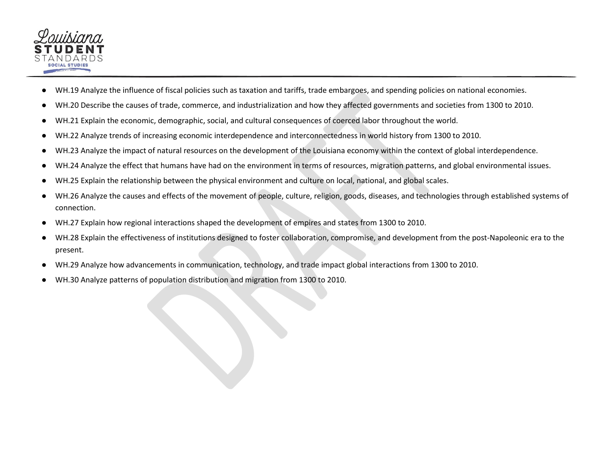

- WH.19 Analyze the influence of fiscal policies such as taxation and tariffs, trade embargoes, and spending policies on national economies.
- WH.20 Describe the causes of trade, commerce, and industrialization and how they affected governments and societies from 1300 to 2010.
- WH.21 Explain the economic, demographic, social, and cultural consequences of coerced labor throughout the world.
- WH.22 Analyze trends of increasing economic interdependence and interconnectedness in world history from 1300 to 2010.
- WH.23 Analyze the impact of natural resources on the development of the Louisiana economy within the context of global interdependence.
- WH.24 Analyze the effect that humans have had on the environment in terms of resources, migration patterns, and global environmental issues.
- WH.25 Explain the relationship between the physical environment and culture on local, national, and global scales.
- WH.26 Analyze the causes and effects of the movement of people, culture, religion, goods, diseases, and technologies through established systems of connection.
- WH.27 Explain how regional interactions shaped the development of empires and states from 1300 to 2010.
- WH.28 Explain the effectiveness of institutions designed to foster collaboration, compromise, and development from the post-Napoleonic era to the present.
- WH.29 Analyze how advancements in communication, technology, and trade impact global interactions from 1300 to 2010.
- WH.30 Analyze patterns of population distribution and migration from 1300 to 2010.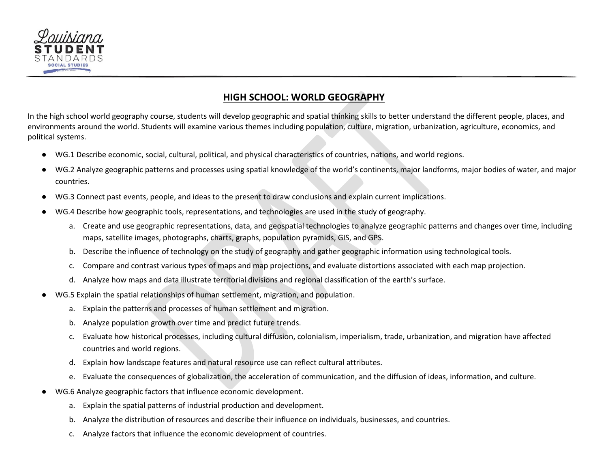

# **HIGH SCHOOL: WORLD GEOGRAPHY**

<span id="page-57-0"></span>In the high school world geography course, students will develop geographic and spatial thinking skills to better understand the different people, places, and environments around the world. Students will examine various themes including population, culture, migration, urbanization, agriculture, economics, and political systems.

- WG.1 Describe economic, social, cultural, political, and physical characteristics of countries, nations, and world regions.
- WG.2 Analyze geographic patterns and processes using spatial knowledge of the world's continents, major landforms, major bodies of water, and major countries.
- WG.3 Connect past events, people, and ideas to the present to draw conclusions and explain current implications.
- WG.4 Describe how geographic tools, representations, and technologies are used in the study of geography.
	- a. Create and use geographic representations, data, and geospatial technologies to analyze geographic patterns and changes over time, including maps, satellite images, photographs, charts, graphs, population pyramids, GIS, and GPS.
	- b. Describe the influence of technology on the study of geography and gather geographic information using technological tools.
	- c. Compare and contrast various types of maps and map projections, and evaluate distortions associated with each map projection.
	- d. Analyze how maps and data illustrate territorial divisions and regional classification of the earth's surface.
- WG.5 Explain the spatial relationships of human settlement, migration, and population.
	- a. Explain the patterns and processes of human settlement and migration.
	- b. Analyze population growth over time and predict future trends.
	- c. Evaluate how historical processes, including cultural diffusion, colonialism, imperialism, trade, urbanization, and migration have affected countries and world regions.
	- d. Explain how landscape features and natural resource use can reflect cultural attributes.
	- e. Evaluate the consequences of globalization, the acceleration of communication, and the diffusion of ideas, information, and culture.
- WG.6 Analyze geographic factors that influence economic development.
	- a. Explain the spatial patterns of industrial production and development.
	- b. Analyze the distribution of resources and describe their influence on individuals, businesses, and countries.
	- c. Analyze factors that influence the economic development of countries.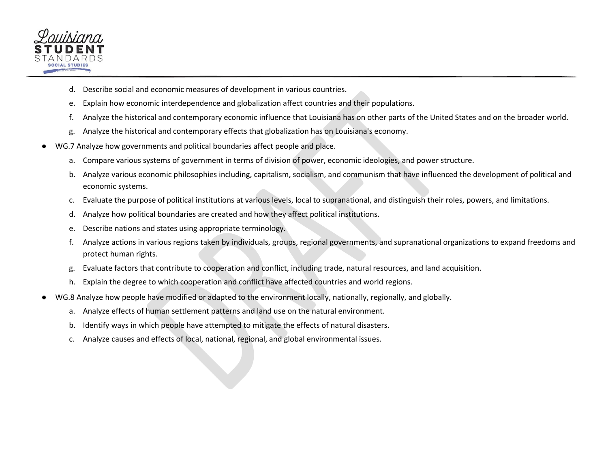

- d. Describe social and economic measures of development in various countries.
- e. Explain how economic interdependence and globalization affect countries and their populations.
- f. Analyze the historical and contemporary economic influence that Louisiana has on other parts of the United States and on the broader world.
- g. Analyze the historical and contemporary effects that globalization has on Louisiana's economy.
- WG.7 Analyze how governments and political boundaries affect people and place.
	- a. Compare various systems of government in terms of division of power, economic ideologies, and power structure.
	- b. Analyze various economic philosophies including, capitalism, socialism, and communism that have influenced the development of political and economic systems.
	- c. Evaluate the purpose of political institutions at various levels, local to supranational, and distinguish their roles, powers, and limitations.
	- d. Analyze how political boundaries are created and how they affect political institutions.
	- e. Describe nations and states using appropriate terminology.
	- f. Analyze actions in various regions taken by individuals, groups, regional governments, and supranational organizations to expand freedoms and protect human rights.
	- g. Evaluate factors that contribute to cooperation and conflict, including trade, natural resources, and land acquisition.
	- h. Explain the degree to which cooperation and conflict have affected countries and world regions.
- WG.8 Analyze how people have modified or adapted to the environment locally, nationally, regionally, and globally.
	- a. Analyze effects of human settlement patterns and land use on the natural environment.
	- b. Identify ways in which people have attempted to mitigate the effects of natural disasters.
	- c. Analyze causes and effects of local, national, regional, and global environmental issues.